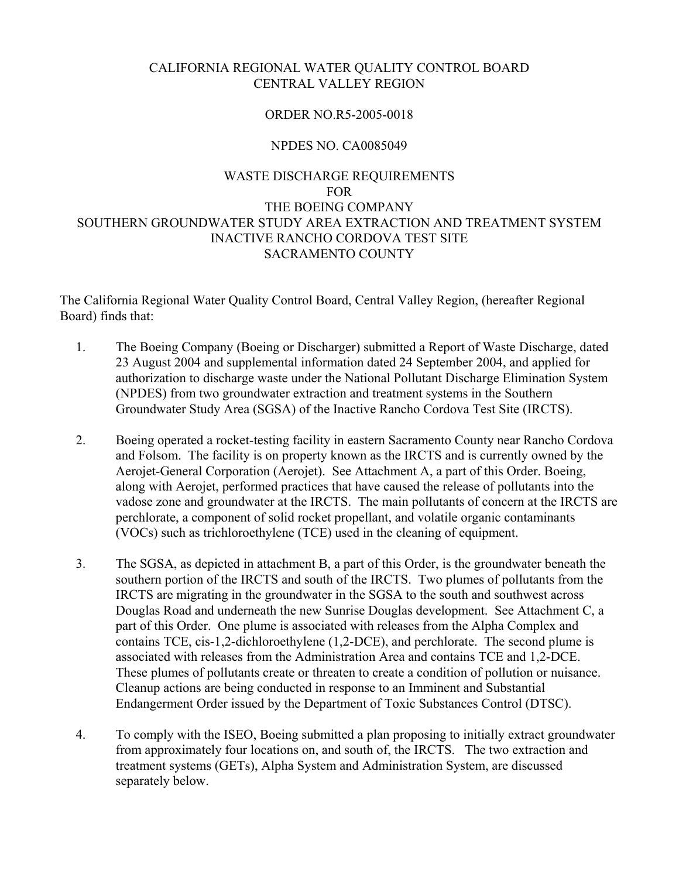# CALIFORNIA REGIONAL WATER QUALITY CONTROL BOARD CENTRAL VALLEY REGION

#### ORDER NO.R5-2005-0018

#### NPDES NO. CA0085049

# WASTE DISCHARGE REQUIREMENTS FOR THE BOEING COMPANY SOUTHERN GROUNDWATER STUDY AREA EXTRACTION AND TREATMENT SYSTEM INACTIVE RANCHO CORDOVA TEST SITE SACRAMENTO COUNTY

The California Regional Water Quality Control Board, Central Valley Region, (hereafter Regional Board) finds that:

- 1. The Boeing Company (Boeing or Discharger) submitted a Report of Waste Discharge, dated 23 August 2004 and supplemental information dated 24 September 2004, and applied for authorization to discharge waste under the National Pollutant Discharge Elimination System (NPDES) from two groundwater extraction and treatment systems in the Southern Groundwater Study Area (SGSA) of the Inactive Rancho Cordova Test Site (IRCTS).
- 2. Boeing operated a rocket-testing facility in eastern Sacramento County near Rancho Cordova and Folsom. The facility is on property known as the IRCTS and is currently owned by the Aerojet-General Corporation (Aerojet). See Attachment A, a part of this Order. Boeing, along with Aerojet, performed practices that have caused the release of pollutants into the vadose zone and groundwater at the IRCTS. The main pollutants of concern at the IRCTS are perchlorate, a component of solid rocket propellant, and volatile organic contaminants (VOCs) such as trichloroethylene (TCE) used in the cleaning of equipment.
- 3. The SGSA, as depicted in attachment B, a part of this Order, is the groundwater beneath the southern portion of the IRCTS and south of the IRCTS. Two plumes of pollutants from the IRCTS are migrating in the groundwater in the SGSA to the south and southwest across Douglas Road and underneath the new Sunrise Douglas development. See Attachment C, a part of this Order. One plume is associated with releases from the Alpha Complex and contains TCE, cis-1,2-dichloroethylene (1,2-DCE), and perchlorate. The second plume is associated with releases from the Administration Area and contains TCE and 1,2-DCE. These plumes of pollutants create or threaten to create a condition of pollution or nuisance. Cleanup actions are being conducted in response to an Imminent and Substantial Endangerment Order issued by the Department of Toxic Substances Control (DTSC).
- 4. To comply with the ISEO, Boeing submitted a plan proposing to initially extract groundwater from approximately four locations on, and south of, the IRCTS. The two extraction and treatment systems (GETs), Alpha System and Administration System, are discussed separately below.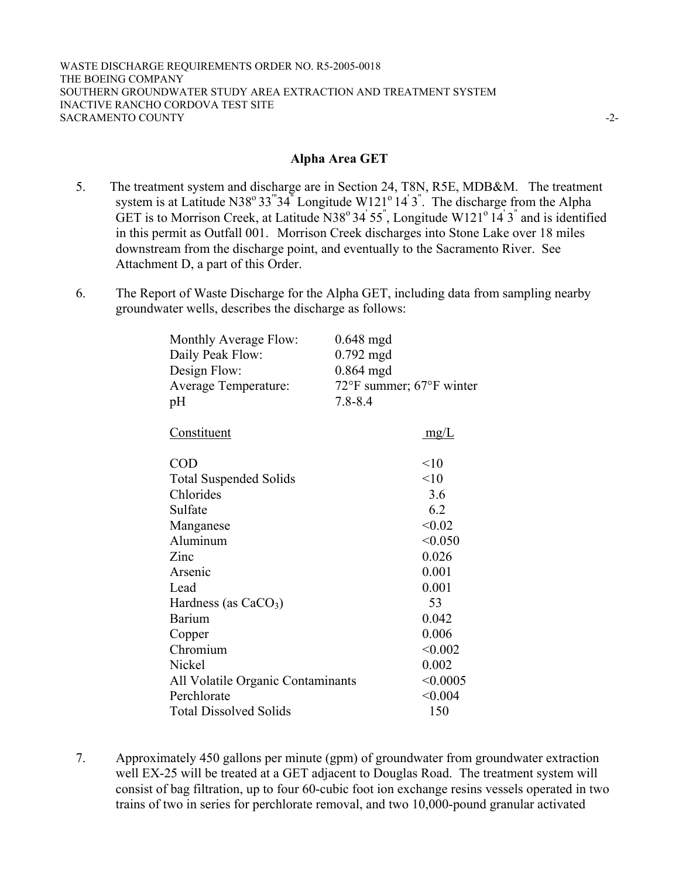#### **Alpha Area GET**

- 5. The treatment system and discharge are in Section 24, T8N, R5E, MDB&M. The treatment system is at Latitude N38° 33<sup>"</sup>34<sup>"</sup> Longitude W121° 14<sup>'</sup> 3<sup>"</sup>. The discharge from the Alpha GET is to Morrison Creek, at Latitude N38 $^{\circ}$ 34' 55", Longitude W121 $^{\circ}$ 14' 3" and is identified in this permit as Outfall 001. Morrison Creek discharges into Stone Lake over 18 miles downstream from the discharge point, and eventually to the Sacramento River. See Attachment D, a part of this Order.
- 6. The Report of Waste Discharge for the Alpha GET, including data from sampling nearby groundwater wells, describes the discharge as follows:

| Monthly Average Flow:<br>Daily Peak Flow:<br>Design Flow:<br><b>Average Temperature:</b><br>pH | $0.648$ mgd<br>$0.792$ mgd<br>$0.864$ mgd<br>72°F summer; 67°F winter<br>$7.8 - 8.4$ |
|------------------------------------------------------------------------------------------------|--------------------------------------------------------------------------------------|
| <u>Constituent</u>                                                                             | mg/L                                                                                 |
| <b>COD</b>                                                                                     | <10                                                                                  |
| <b>Total Suspended Solids</b>                                                                  | < 10                                                                                 |
| Chlorides                                                                                      | 3.6                                                                                  |
| Sulfate                                                                                        | 6.2                                                                                  |
| Manganese                                                                                      | < 0.02                                                                               |
| Aluminum                                                                                       | < 0.050                                                                              |
| Zinc                                                                                           | 0.026                                                                                |
| Arsenic                                                                                        | 0.001                                                                                |
| Lead                                                                                           | 0.001                                                                                |
| Hardness (as $CaCO3$ )                                                                         | 53                                                                                   |
| <b>Barium</b>                                                                                  | 0.042                                                                                |
| Copper                                                                                         | 0.006                                                                                |
| Chromium                                                                                       | < 0.002                                                                              |
| Nickel                                                                                         | 0.002                                                                                |
| All Volatile Organic Contaminants                                                              | < 0.0005                                                                             |
| Perchlorate                                                                                    | < 0.004                                                                              |
| <b>Total Dissolved Solids</b>                                                                  | 150                                                                                  |

7. Approximately 450 gallons per minute (gpm) of groundwater from groundwater extraction well EX-25 will be treated at a GET adjacent to Douglas Road. The treatment system will consist of bag filtration, up to four 60-cubic foot ion exchange resins vessels operated in two trains of two in series for perchlorate removal, and two 10,000-pound granular activated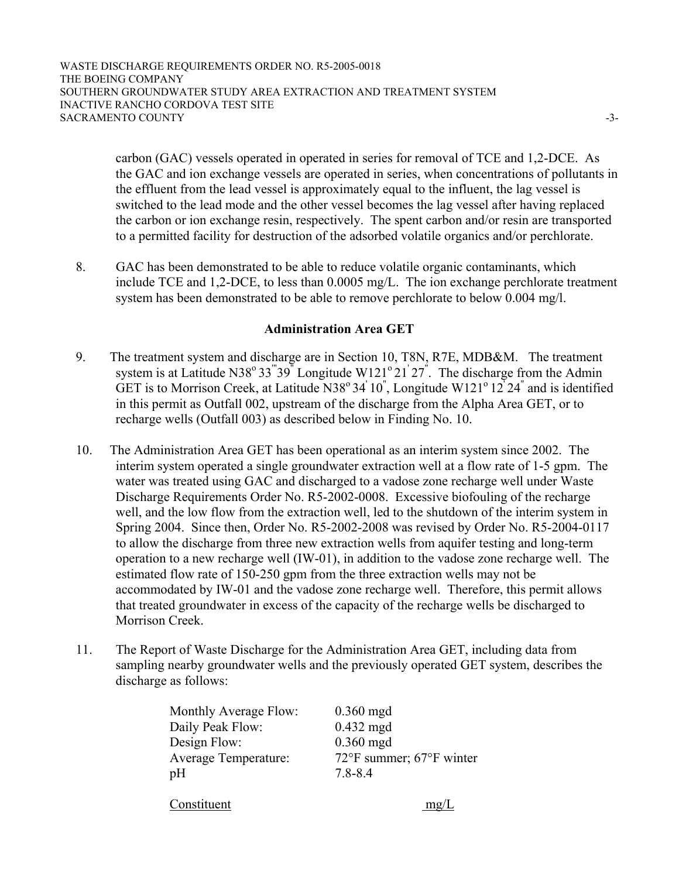WASTE DISCHARGE REQUIREMENTS ORDER NO. R5-2005-0018 THE BOEING COMPANY SOUTHERN GROUNDWATER STUDY AREA EXTRACTION AND TREATMENT SYSTEM INACTIVE RANCHO CORDOVA TEST SITE SACRAMENTO COUNTY  $\sim$ 

> carbon (GAC) vessels operated in operated in series for removal of TCE and 1,2-DCE. As the GAC and ion exchange vessels are operated in series, when concentrations of pollutants in the effluent from the lead vessel is approximately equal to the influent, the lag vessel is switched to the lead mode and the other vessel becomes the lag vessel after having replaced the carbon or ion exchange resin, respectively. The spent carbon and/or resin are transported to a permitted facility for destruction of the adsorbed volatile organics and/or perchlorate.

8. GAC has been demonstrated to be able to reduce volatile organic contaminants, which include TCE and 1,2-DCE, to less than 0.0005 mg/L. The ion exchange perchlorate treatment system has been demonstrated to be able to remove perchlorate to below 0.004 mg/l.

## **Administration Area GET**

- 9. The treatment system and discharge are in Section 10, T8N, R7E, MDB&M. The treatment system is at Latitude N38<sup>°</sup> 33<sup>"</sup>39<sup>"</sup> Longitude W121<sup>°</sup> 21<sup>'</sup> 27<sup>"</sup>. The discharge from the Admin GET is to Morrison Creek, at Latitude N38°34'10", Longitude W121°12<sup>'</sup>24" and is identified in this permit as Outfall 002, upstream of the discharge from the Alpha Area GET, or to recharge wells (Outfall 003) as described below in Finding No. 10.
- 10. The Administration Area GET has been operational as an interim system since 2002. The interim system operated a single groundwater extraction well at a flow rate of 1-5 gpm. The water was treated using GAC and discharged to a vadose zone recharge well under Waste Discharge Requirements Order No. R5-2002-0008. Excessive biofouling of the recharge well, and the low flow from the extraction well, led to the shutdown of the interim system in Spring 2004. Since then, Order No. R5-2002-2008 was revised by Order No. R5-2004-0117 to allow the discharge from three new extraction wells from aquifer testing and long-term operation to a new recharge well (IW-01), in addition to the vadose zone recharge well. The estimated flow rate of 150-250 gpm from the three extraction wells may not be accommodated by IW-01 and the vadose zone recharge well. Therefore, this permit allows that treated groundwater in excess of the capacity of the recharge wells be discharged to Morrison Creek.
- 11. The Report of Waste Discharge for the Administration Area GET, including data from sampling nearby groundwater wells and the previously operated GET system, describes the discharge as follows:

| <b>Monthly Average Flow:</b> | $0.360$ mgd                                  |
|------------------------------|----------------------------------------------|
| Daily Peak Flow:             | $0.432$ mgd                                  |
| Design Flow:                 | $0.360$ mgd                                  |
| <b>Average Temperature:</b>  | $72^{\circ}$ F summer; $67^{\circ}$ F winter |
| рH                           | 7.8-8.4                                      |
|                              |                                              |

Constituent mg/L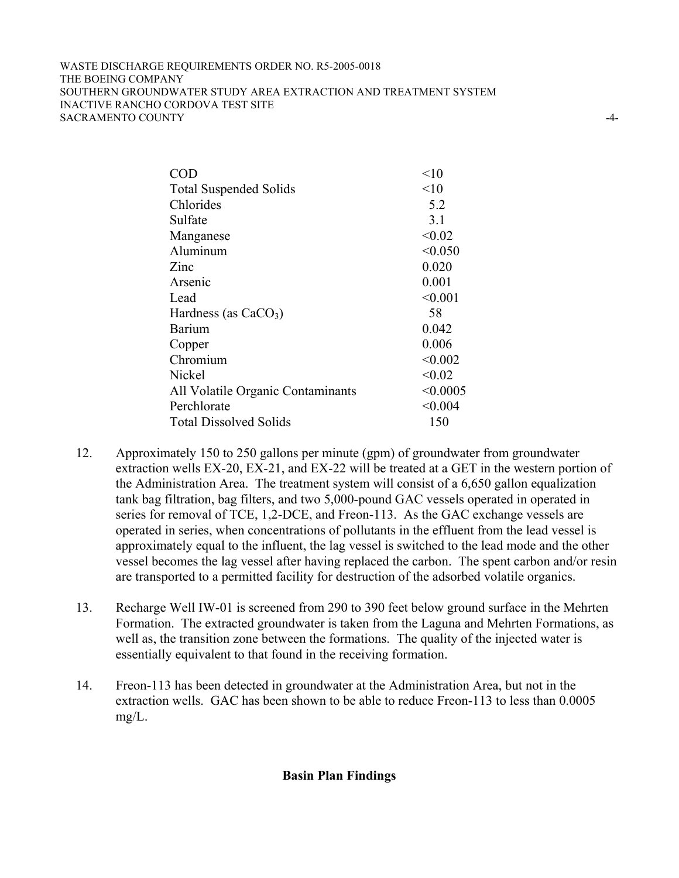#### WASTE DISCHARGE REQUIREMENTS ORDER NO. R5-2005-0018 THE BOEING COMPANY SOUTHERN GROUNDWATER STUDY AREA EXTRACTION AND TREATMENT SYSTEM INACTIVE RANCHO CORDOVA TEST SITE SACRAMENTO COUNTY  $\sim$

| <b>COD</b>                        | < 10     |
|-----------------------------------|----------|
| <b>Total Suspended Solids</b>     | <10      |
| Chlorides                         | 5.2      |
| Sulfate                           | 3.1      |
| Manganese                         | < 0.02   |
| Aluminum                          | < 0.050  |
| Zinc                              | 0.020    |
| Arsenic                           | 0.001    |
| Lead                              | < 0.001  |
| Hardness (as $CaCO3$ )            | 58       |
| <b>Barium</b>                     | 0.042    |
| Copper                            | 0.006    |
| Chromium                          | < 0.002  |
| Nickel                            | < 0.02   |
| All Volatile Organic Contaminants | < 0.0005 |
| Perchlorate                       | < 0.004  |
| <b>Total Dissolved Solids</b>     | 150      |
|                                   |          |

- 12. Approximately 150 to 250 gallons per minute (gpm) of groundwater from groundwater extraction wells EX-20, EX-21, and EX-22 will be treated at a GET in the western portion of the Administration Area. The treatment system will consist of a 6,650 gallon equalization tank bag filtration, bag filters, and two 5,000-pound GAC vessels operated in operated in series for removal of TCE, 1,2-DCE, and Freon-113. As the GAC exchange vessels are operated in series, when concentrations of pollutants in the effluent from the lead vessel is approximately equal to the influent, the lag vessel is switched to the lead mode and the other vessel becomes the lag vessel after having replaced the carbon. The spent carbon and/or resin are transported to a permitted facility for destruction of the adsorbed volatile organics.
- 13. Recharge Well IW-01 is screened from 290 to 390 feet below ground surface in the Mehrten Formation. The extracted groundwater is taken from the Laguna and Mehrten Formations, as well as, the transition zone between the formations. The quality of the injected water is essentially equivalent to that found in the receiving formation.
- 14. Freon-113 has been detected in groundwater at the Administration Area, but not in the extraction wells. GAC has been shown to be able to reduce Freon-113 to less than 0.0005 mg/L.

# **Basin Plan Findings**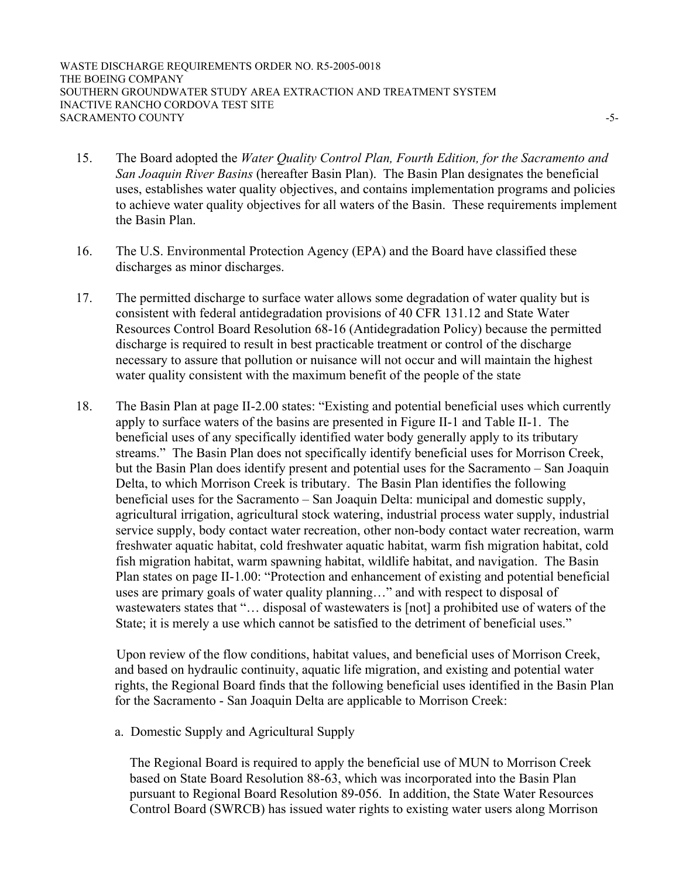WASTE DISCHARGE REQUIREMENTS ORDER NO. R5-2005-0018 THE BOEING COMPANY SOUTHERN GROUNDWATER STUDY AREA EXTRACTION AND TREATMENT SYSTEM INACTIVE RANCHO CORDOVA TEST SITE SACRAMENTO COUNTY  $\sim$ 

- 15. The Board adopted the *Water Quality Control Plan, Fourth Edition, for the Sacramento and San Joaquin River Basins* (hereafter Basin Plan). The Basin Plan designates the beneficial uses, establishes water quality objectives, and contains implementation programs and policies to achieve water quality objectives for all waters of the Basin. These requirements implement the Basin Plan.
- 16. The U.S. Environmental Protection Agency (EPA) and the Board have classified these discharges as minor discharges.
- 17. The permitted discharge to surface water allows some degradation of water quality but is consistent with federal antidegradation provisions of 40 CFR 131.12 and State Water Resources Control Board Resolution 68-16 (Antidegradation Policy) because the permitted discharge is required to result in best practicable treatment or control of the discharge necessary to assure that pollution or nuisance will not occur and will maintain the highest water quality consistent with the maximum benefit of the people of the state
- 18. The Basin Plan at page II-2.00 states: "Existing and potential beneficial uses which currently apply to surface waters of the basins are presented in Figure II-1 and Table II-1. The beneficial uses of any specifically identified water body generally apply to its tributary streams." The Basin Plan does not specifically identify beneficial uses for Morrison Creek, but the Basin Plan does identify present and potential uses for the Sacramento – San Joaquin Delta, to which Morrison Creek is tributary. The Basin Plan identifies the following beneficial uses for the Sacramento – San Joaquin Delta: municipal and domestic supply, agricultural irrigation, agricultural stock watering, industrial process water supply, industrial service supply, body contact water recreation, other non-body contact water recreation, warm freshwater aquatic habitat, cold freshwater aquatic habitat, warm fish migration habitat, cold fish migration habitat, warm spawning habitat, wildlife habitat, and navigation. The Basin Plan states on page II-1.00: "Protection and enhancement of existing and potential beneficial uses are primary goals of water quality planning…" and with respect to disposal of wastewaters states that "... disposal of wastewaters is [not] a prohibited use of waters of the State; it is merely a use which cannot be satisfied to the detriment of beneficial uses."

 Upon review of the flow conditions, habitat values, and beneficial uses of Morrison Creek, and based on hydraulic continuity, aquatic life migration, and existing and potential water rights, the Regional Board finds that the following beneficial uses identified in the Basin Plan for the Sacramento - San Joaquin Delta are applicable to Morrison Creek:

a. Domestic Supply and Agricultural Supply

The Regional Board is required to apply the beneficial use of MUN to Morrison Creek based on State Board Resolution 88-63, which was incorporated into the Basin Plan pursuant to Regional Board Resolution 89-056. In addition, the State Water Resources Control Board (SWRCB) has issued water rights to existing water users along Morrison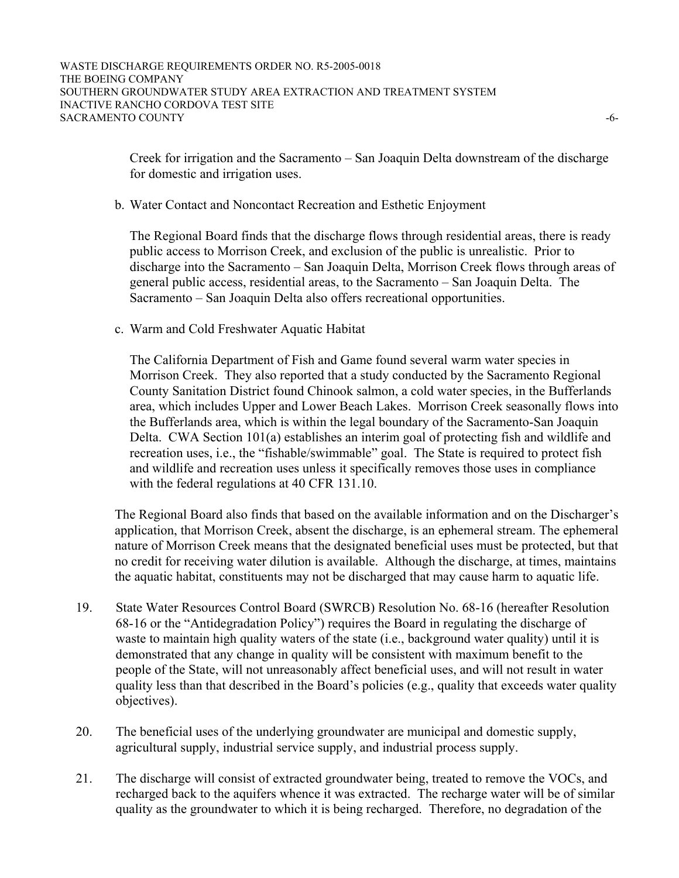Creek for irrigation and the Sacramento – San Joaquin Delta downstream of the discharge for domestic and irrigation uses.

b. Water Contact and Noncontact Recreation and Esthetic Enjoyment

 The Regional Board finds that the discharge flows through residential areas, there is ready public access to Morrison Creek, and exclusion of the public is unrealistic. Prior to discharge into the Sacramento – San Joaquin Delta, Morrison Creek flows through areas of general public access, residential areas, to the Sacramento – San Joaquin Delta. The Sacramento – San Joaquin Delta also offers recreational opportunities.

c. Warm and Cold Freshwater Aquatic Habitat

 The California Department of Fish and Game found several warm water species in Morrison Creek. They also reported that a study conducted by the Sacramento Regional County Sanitation District found Chinook salmon, a cold water species, in the Bufferlands area, which includes Upper and Lower Beach Lakes. Morrison Creek seasonally flows into the Bufferlands area, which is within the legal boundary of the Sacramento-San Joaquin Delta. CWA Section 101(a) establishes an interim goal of protecting fish and wildlife and recreation uses, i.e., the "fishable/swimmable" goal. The State is required to protect fish and wildlife and recreation uses unless it specifically removes those uses in compliance with the federal regulations at 40 CFR 131.10.

The Regional Board also finds that based on the available information and on the Discharger's application, that Morrison Creek, absent the discharge, is an ephemeral stream. The ephemeral nature of Morrison Creek means that the designated beneficial uses must be protected, but that no credit for receiving water dilution is available. Although the discharge, at times, maintains the aquatic habitat, constituents may not be discharged that may cause harm to aquatic life.

- 19. State Water Resources Control Board (SWRCB) Resolution No. 68-16 (hereafter Resolution 68-16 or the "Antidegradation Policy") requires the Board in regulating the discharge of waste to maintain high quality waters of the state (i.e., background water quality) until it is demonstrated that any change in quality will be consistent with maximum benefit to the people of the State, will not unreasonably affect beneficial uses, and will not result in water quality less than that described in the Board's policies (e.g., quality that exceeds water quality objectives).
- 20. The beneficial uses of the underlying groundwater are municipal and domestic supply, agricultural supply, industrial service supply, and industrial process supply.
- 21. The discharge will consist of extracted groundwater being, treated to remove the VOCs, and recharged back to the aquifers whence it was extracted. The recharge water will be of similar quality as the groundwater to which it is being recharged. Therefore, no degradation of the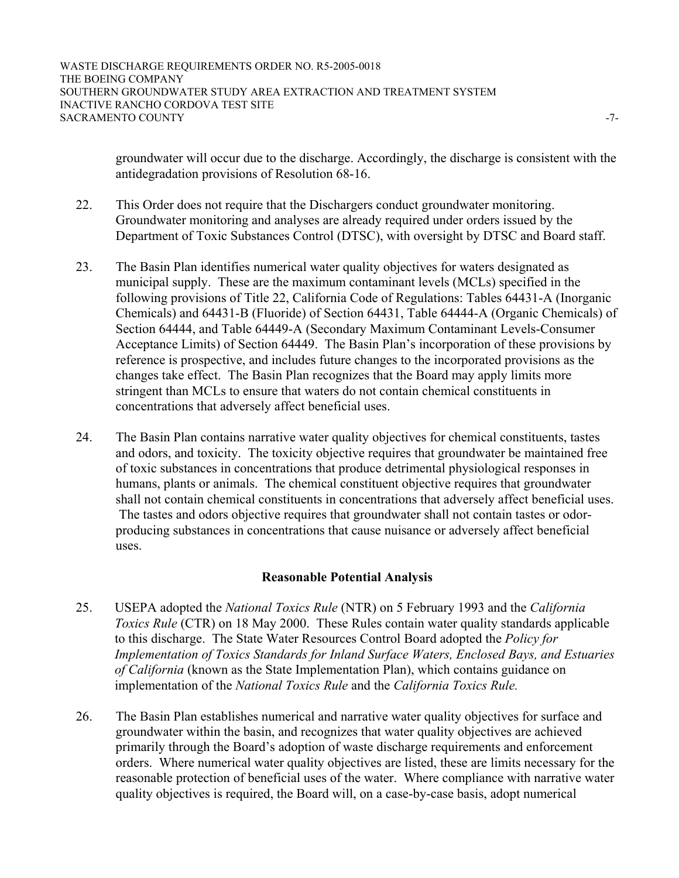groundwater will occur due to the discharge. Accordingly, the discharge is consistent with the antidegradation provisions of Resolution 68-16.

- 22. This Order does not require that the Dischargers conduct groundwater monitoring. Groundwater monitoring and analyses are already required under orders issued by the Department of Toxic Substances Control (DTSC), with oversight by DTSC and Board staff.
- 23. The Basin Plan identifies numerical water quality objectives for waters designated as municipal supply. These are the maximum contaminant levels (MCLs) specified in the following provisions of Title 22, California Code of Regulations: Tables 64431-A (Inorganic Chemicals) and 64431-B (Fluoride) of Section 64431, Table 64444-A (Organic Chemicals) of Section 64444, and Table 64449-A (Secondary Maximum Contaminant Levels-Consumer Acceptance Limits) of Section 64449. The Basin Plan's incorporation of these provisions by reference is prospective, and includes future changes to the incorporated provisions as the changes take effect. The Basin Plan recognizes that the Board may apply limits more stringent than MCLs to ensure that waters do not contain chemical constituents in concentrations that adversely affect beneficial uses.
- 24. The Basin Plan contains narrative water quality objectives for chemical constituents, tastes and odors, and toxicity. The toxicity objective requires that groundwater be maintained free of toxic substances in concentrations that produce detrimental physiological responses in humans, plants or animals. The chemical constituent objective requires that groundwater shall not contain chemical constituents in concentrations that adversely affect beneficial uses. The tastes and odors objective requires that groundwater shall not contain tastes or odorproducing substances in concentrations that cause nuisance or adversely affect beneficial uses.

### **Reasonable Potential Analysis**

- 25. USEPA adopted the *National Toxics Rule* (NTR) on 5 February 1993 and the *California Toxics Rule* (CTR) on 18 May 2000. These Rules contain water quality standards applicable to this discharge. The State Water Resources Control Board adopted the *Policy for Implementation of Toxics Standards for Inland Surface Waters, Enclosed Bays, and Estuaries of California* (known as the State Implementation Plan), which contains guidance on implementation of the *National Toxics Rule* and the *California Toxics Rule.*
- 26. The Basin Plan establishes numerical and narrative water quality objectives for surface and groundwater within the basin, and recognizes that water quality objectives are achieved primarily through the Board's adoption of waste discharge requirements and enforcement orders. Where numerical water quality objectives are listed, these are limits necessary for the reasonable protection of beneficial uses of the water. Where compliance with narrative water quality objectives is required, the Board will, on a case-by-case basis, adopt numerical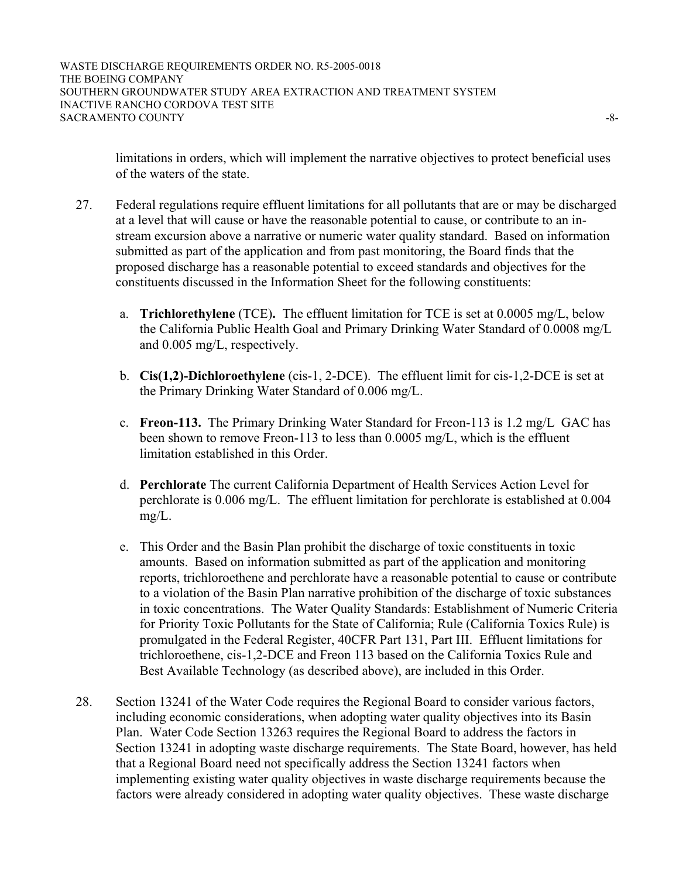limitations in orders, which will implement the narrative objectives to protect beneficial uses of the waters of the state.

- 27. Federal regulations require effluent limitations for all pollutants that are or may be discharged at a level that will cause or have the reasonable potential to cause, or contribute to an instream excursion above a narrative or numeric water quality standard. Based on information submitted as part of the application and from past monitoring, the Board finds that the proposed discharge has a reasonable potential to exceed standards and objectives for the constituents discussed in the Information Sheet for the following constituents:
	- a. **Trichlorethylene** (TCE)**.** The effluent limitation for TCE is set at 0.0005 mg/L, below the California Public Health Goal and Primary Drinking Water Standard of 0.0008 mg/L and 0.005 mg/L, respectively.
	- b. **Cis(1,2)-Dichloroethylene** (cis-1, 2-DCE). The effluent limit for cis-1,2-DCE is set at the Primary Drinking Water Standard of 0.006 mg/L.
	- c. **Freon-113.** The Primary Drinking Water Standard for Freon-113 is 1.2 mg/L GAC has been shown to remove Freon-113 to less than 0.0005 mg/L, which is the effluent limitation established in this Order.
	- d. **Perchlorate** The current California Department of Health Services Action Level for perchlorate is 0.006 mg/L. The effluent limitation for perchlorate is established at 0.004 mg/L.
	- e. This Order and the Basin Plan prohibit the discharge of toxic constituents in toxic amounts. Based on information submitted as part of the application and monitoring reports, trichloroethene and perchlorate have a reasonable potential to cause or contribute to a violation of the Basin Plan narrative prohibition of the discharge of toxic substances in toxic concentrations. The Water Quality Standards: Establishment of Numeric Criteria for Priority Toxic Pollutants for the State of California; Rule (California Toxics Rule) is promulgated in the Federal Register, 40CFR Part 131, Part III. Effluent limitations for trichloroethene, cis-1,2-DCE and Freon 113 based on the California Toxics Rule and Best Available Technology (as described above), are included in this Order.
- 28. Section 13241 of the Water Code requires the Regional Board to consider various factors, including economic considerations, when adopting water quality objectives into its Basin Plan. Water Code Section 13263 requires the Regional Board to address the factors in Section 13241 in adopting waste discharge requirements. The State Board, however, has held that a Regional Board need not specifically address the Section 13241 factors when implementing existing water quality objectives in waste discharge requirements because the factors were already considered in adopting water quality objectives. These waste discharge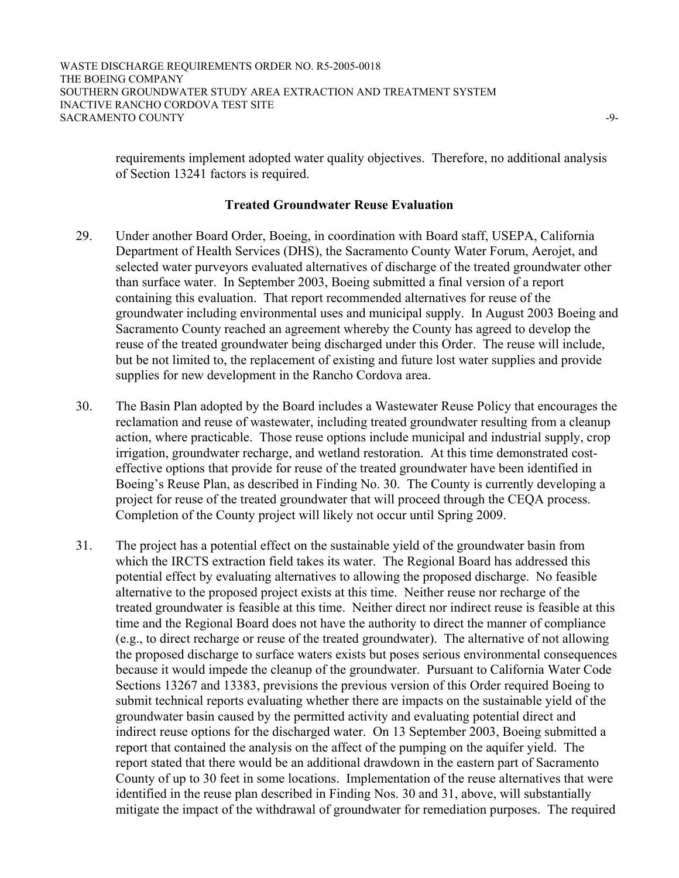requirements implement adopted water quality objectives. Therefore, no additional analysis of Section 13241 factors is required.

#### **Treated Groundwater Reuse Evaluation**

- 29. Under another Board Order, Boeing, in coordination with Board staff, USEPA, California Department of Health Services (DHS), the Sacramento County Water Forum, Aerojet, and selected water purveyors evaluated alternatives of discharge of the treated groundwater other than surface water. In September 2003, Boeing submitted a final version of a report containing this evaluation. That report recommended alternatives for reuse of the groundwater including environmental uses and municipal supply. In August 2003 Boeing and Sacramento County reached an agreement whereby the County has agreed to develop the reuse of the treated groundwater being discharged under this Order. The reuse will include, but be not limited to, the replacement of existing and future lost water supplies and provide supplies for new development in the Rancho Cordova area.
- 30. The Basin Plan adopted by the Board includes a Wastewater Reuse Policy that encourages the reclamation and reuse of wastewater, including treated groundwater resulting from a cleanup action, where practicable. Those reuse options include municipal and industrial supply, crop irrigation, groundwater recharge, and wetland restoration. At this time demonstrated costeffective options that provide for reuse of the treated groundwater have been identified in Boeing's Reuse Plan, as described in Finding No. 30. The County is currently developing a project for reuse of the treated groundwater that will proceed through the CEQA process. Completion of the County project will likely not occur until Spring 2009.
- 31. The project has a potential effect on the sustainable yield of the groundwater basin from which the IRCTS extraction field takes its water. The Regional Board has addressed this potential effect by evaluating alternatives to allowing the proposed discharge. No feasible alternative to the proposed project exists at this time. Neither reuse nor recharge of the treated groundwater is feasible at this time. Neither direct nor indirect reuse is feasible at this time and the Regional Board does not have the authority to direct the manner of compliance (e.g., to direct recharge or reuse of the treated groundwater). The alternative of not allowing the proposed discharge to surface waters exists but poses serious environmental consequences because it would impede the cleanup of the groundwater. Pursuant to California Water Code Sections 13267 and 13383, previsions the previous version of this Order required Boeing to submit technical reports evaluating whether there are impacts on the sustainable yield of the groundwater basin caused by the permitted activity and evaluating potential direct and indirect reuse options for the discharged water. On 13 September 2003, Boeing submitted a report that contained the analysis on the affect of the pumping on the aquifer yield. The report stated that there would be an additional drawdown in the eastern part of Sacramento County of up to 30 feet in some locations. Implementation of the reuse alternatives that were identified in the reuse plan described in Finding Nos. 30 and 31, above, will substantially mitigate the impact of the withdrawal of groundwater for remediation purposes. The required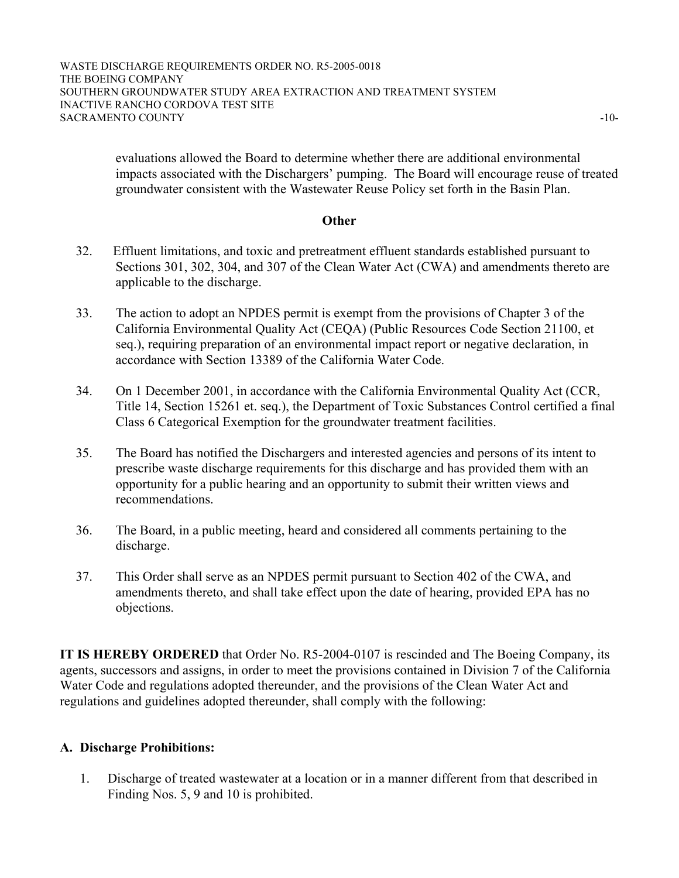evaluations allowed the Board to determine whether there are additional environmental impacts associated with the Dischargers' pumping. The Board will encourage reuse of treated groundwater consistent with the Wastewater Reuse Policy set forth in the Basin Plan.

### **Other**

- 32. Effluent limitations, and toxic and pretreatment effluent standards established pursuant to Sections 301, 302, 304, and 307 of the Clean Water Act (CWA) and amendments thereto are applicable to the discharge.
- 33. The action to adopt an NPDES permit is exempt from the provisions of Chapter 3 of the California Environmental Quality Act (CEQA) (Public Resources Code Section 21100, et seq.), requiring preparation of an environmental impact report or negative declaration, in accordance with Section 13389 of the California Water Code.
- 34. On 1 December 2001, in accordance with the California Environmental Quality Act (CCR, Title 14, Section 15261 et. seq.), the Department of Toxic Substances Control certified a final Class 6 Categorical Exemption for the groundwater treatment facilities.
- 35. The Board has notified the Dischargers and interested agencies and persons of its intent to prescribe waste discharge requirements for this discharge and has provided them with an opportunity for a public hearing and an opportunity to submit their written views and recommendations.
- 36. The Board, in a public meeting, heard and considered all comments pertaining to the discharge.
- 37. This Order shall serve as an NPDES permit pursuant to Section 402 of the CWA, and amendments thereto, and shall take effect upon the date of hearing, provided EPA has no objections.

**IT IS HEREBY ORDERED** that Order No. R5-2004-0107 is rescinded and The Boeing Company, its agents, successors and assigns, in order to meet the provisions contained in Division 7 of the California Water Code and regulations adopted thereunder, and the provisions of the Clean Water Act and regulations and guidelines adopted thereunder, shall comply with the following:

### **A. Discharge Prohibitions:**

1. Discharge of treated wastewater at a location or in a manner different from that described in Finding Nos. 5, 9 and 10 is prohibited.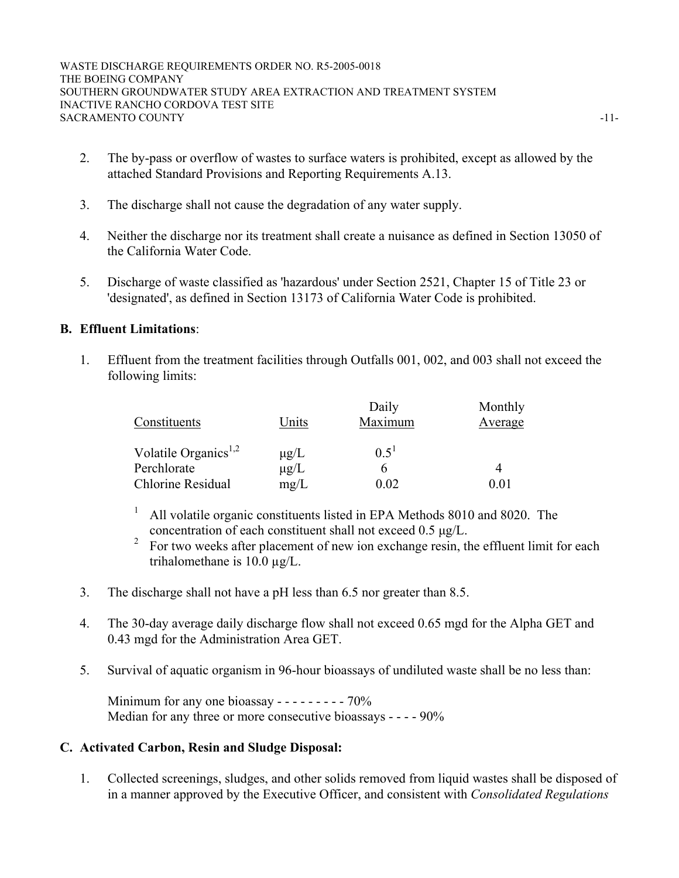- 2. The by-pass or overflow of wastes to surface waters is prohibited, except as allowed by the attached Standard Provisions and Reporting Requirements A.13.
- 3. The discharge shall not cause the degradation of any water supply.
- 4. Neither the discharge nor its treatment shall create a nuisance as defined in Section 13050 of the California Water Code.
- 5. Discharge of waste classified as 'hazardous' under Section 2521, Chapter 15 of Title 23 or 'designated', as defined in Section 13173 of California Water Code is prohibited.

## **B. Effluent Limitations**:

1. Effluent from the treatment facilities through Outfalls 001, 002, and 003 shall not exceed the following limits:

|                                  |           | Daily     | Monthly |
|----------------------------------|-----------|-----------|---------|
| Constituents                     | Units     | Maximum   | Average |
| Volatile Organics <sup>1,2</sup> | $\mu$ g/L | $0.5^{1}$ |         |
| Perchlorate                      | $\mu$ g/L |           |         |
| Chlorine Residual                | mg/L      | 0.02      | 0 O     |

- 1 All volatile organic constituents listed in EPA Methods 8010 and 8020. The concentration of each constituent shall not exceed 0.5 µg/L.
- <sup>2</sup> For two weeks after placement of new ion exchange resin, the effluent limit for each trihalomethane is 10.0 µg/L.
- 3. The discharge shall not have a pH less than 6.5 nor greater than 8.5.
- 4. The 30-day average daily discharge flow shall not exceed 0.65 mgd for the Alpha GET and 0.43 mgd for the Administration Area GET.
- 5. Survival of aquatic organism in 96-hour bioassays of undiluted waste shall be no less than:

Minimum for any one bioassay  $- - - - - - - - - - - -$  70% Median for any three or more consecutive bioassays - - - - 90%

### **C. Activated Carbon, Resin and Sludge Disposal:**

1. Collected screenings, sludges, and other solids removed from liquid wastes shall be disposed of in a manner approved by the Executive Officer, and consistent with *Consolidated Regulations*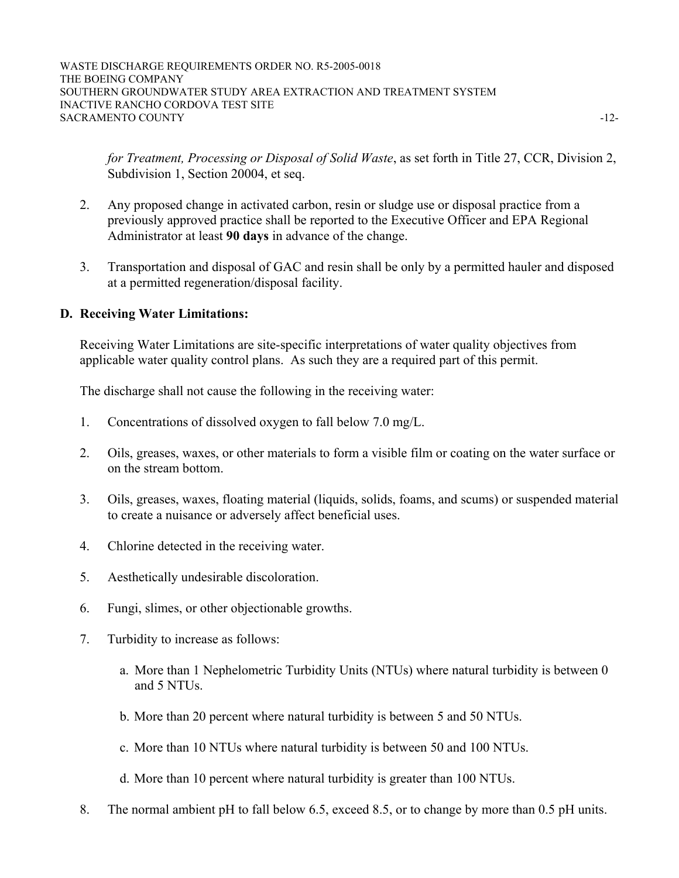WASTE DISCHARGE REQUIREMENTS ORDER NO. R5-2005-0018 THE BOEING COMPANY SOUTHERN GROUNDWATER STUDY AREA EXTRACTION AND TREATMENT SYSTEM INACTIVE RANCHO CORDOVA TEST SITE SACRAMENTO COUNTY  $-12$ 

*for Treatment, Processing or Disposal of Solid Waste*, as set forth in Title 27, CCR, Division 2, Subdivision 1, Section 20004, et seq.

- 2. Any proposed change in activated carbon, resin or sludge use or disposal practice from a previously approved practice shall be reported to the Executive Officer and EPA Regional Administrator at least **90 days** in advance of the change.
- 3. Transportation and disposal of GAC and resin shall be only by a permitted hauler and disposed at a permitted regeneration/disposal facility.

## **D. Receiving Water Limitations:**

Receiving Water Limitations are site-specific interpretations of water quality objectives from applicable water quality control plans. As such they are a required part of this permit.

The discharge shall not cause the following in the receiving water:

- 1. Concentrations of dissolved oxygen to fall below 7.0 mg/L.
- 2. Oils, greases, waxes, or other materials to form a visible film or coating on the water surface or on the stream bottom.
- 3. Oils, greases, waxes, floating material (liquids, solids, foams, and scums) or suspended material to create a nuisance or adversely affect beneficial uses.
- 4. Chlorine detected in the receiving water.
- 5. Aesthetically undesirable discoloration.
- 6. Fungi, slimes, or other objectionable growths.
- 7. Turbidity to increase as follows:
	- a. More than 1 Nephelometric Turbidity Units (NTUs) where natural turbidity is between 0 and 5 NTUs.
	- b. More than 20 percent where natural turbidity is between 5 and 50 NTUs.
	- c. More than 10 NTUs where natural turbidity is between 50 and 100 NTUs.
	- d. More than 10 percent where natural turbidity is greater than 100 NTUs.
- 8. The normal ambient pH to fall below 6.5, exceed 8.5, or to change by more than 0.5 pH units.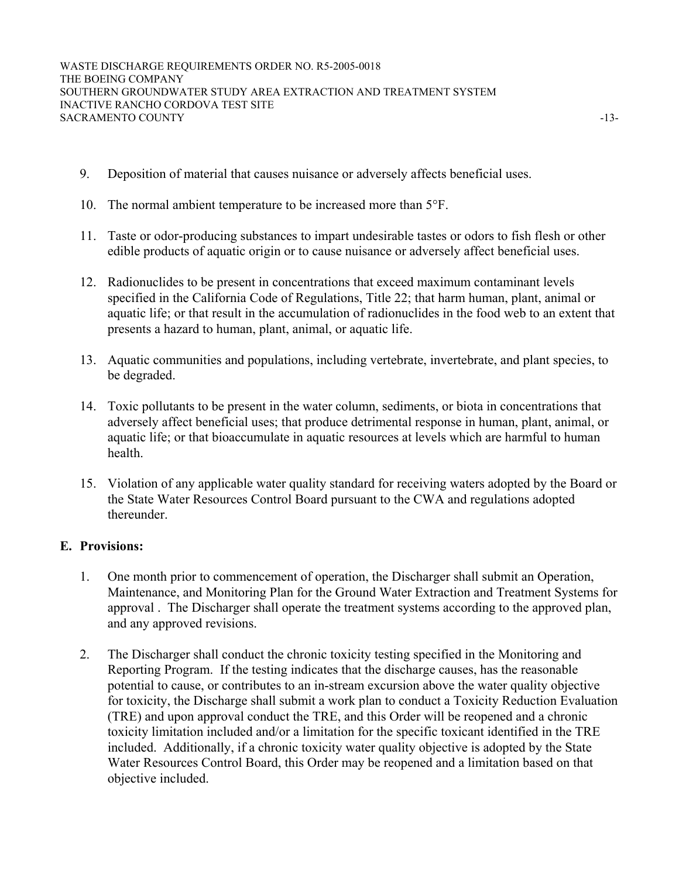- 9. Deposition of material that causes nuisance or adversely affects beneficial uses.
- 10. The normal ambient temperature to be increased more than 5°F.
- 11. Taste or odor-producing substances to impart undesirable tastes or odors to fish flesh or other edible products of aquatic origin or to cause nuisance or adversely affect beneficial uses.
- 12. Radionuclides to be present in concentrations that exceed maximum contaminant levels specified in the California Code of Regulations, Title 22; that harm human, plant, animal or aquatic life; or that result in the accumulation of radionuclides in the food web to an extent that presents a hazard to human, plant, animal, or aquatic life.
- 13. Aquatic communities and populations, including vertebrate, invertebrate, and plant species, to be degraded.
- 14. Toxic pollutants to be present in the water column, sediments, or biota in concentrations that adversely affect beneficial uses; that produce detrimental response in human, plant, animal, or aquatic life; or that bioaccumulate in aquatic resources at levels which are harmful to human health.
- 15. Violation of any applicable water quality standard for receiving waters adopted by the Board or the State Water Resources Control Board pursuant to the CWA and regulations adopted thereunder.

## **E. Provisions:**

- 1. One month prior to commencement of operation, the Discharger shall submit an Operation, Maintenance, and Monitoring Plan for the Ground Water Extraction and Treatment Systems for approval . The Discharger shall operate the treatment systems according to the approved plan, and any approved revisions.
- 2. The Discharger shall conduct the chronic toxicity testing specified in the Monitoring and Reporting Program. If the testing indicates that the discharge causes, has the reasonable potential to cause, or contributes to an in-stream excursion above the water quality objective for toxicity, the Discharge shall submit a work plan to conduct a Toxicity Reduction Evaluation (TRE) and upon approval conduct the TRE, and this Order will be reopened and a chronic toxicity limitation included and/or a limitation for the specific toxicant identified in the TRE included. Additionally, if a chronic toxicity water quality objective is adopted by the State Water Resources Control Board, this Order may be reopened and a limitation based on that objective included.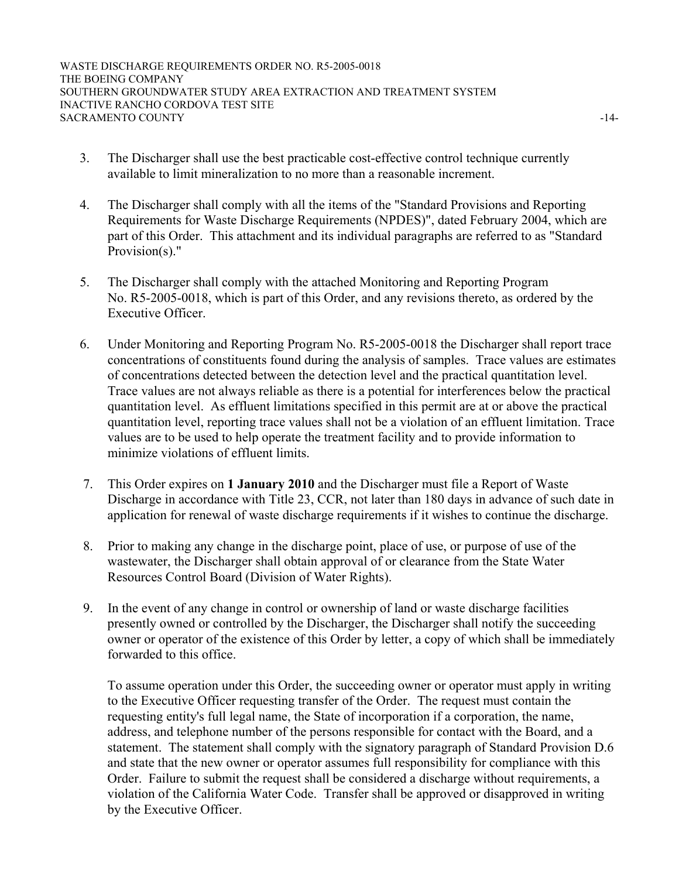WASTE DISCHARGE REQUIREMENTS ORDER NO. R5-2005-0018 THE BOEING COMPANY SOUTHERN GROUNDWATER STUDY AREA EXTRACTION AND TREATMENT SYSTEM INACTIVE RANCHO CORDOVA TEST SITE SACRAMENTO COUNTY  $-14$ -

- 3. The Discharger shall use the best practicable cost-effective control technique currently available to limit mineralization to no more than a reasonable increment.
- 4. The Discharger shall comply with all the items of the "Standard Provisions and Reporting Requirements for Waste Discharge Requirements (NPDES)", dated February 2004, which are part of this Order. This attachment and its individual paragraphs are referred to as "Standard Provision(s)."
- 5. The Discharger shall comply with the attached Monitoring and Reporting Program No. R5-2005-0018, which is part of this Order, and any revisions thereto, as ordered by the Executive Officer.
- 6. Under Monitoring and Reporting Program No. R5-2005-0018 the Discharger shall report trace concentrations of constituents found during the analysis of samples. Trace values are estimates of concentrations detected between the detection level and the practical quantitation level. Trace values are not always reliable as there is a potential for interferences below the practical quantitation level. As effluent limitations specified in this permit are at or above the practical quantitation level, reporting trace values shall not be a violation of an effluent limitation. Trace values are to be used to help operate the treatment facility and to provide information to minimize violations of effluent limits.
- 7. This Order expires on **1 January 2010** and the Discharger must file a Report of Waste Discharge in accordance with Title 23, CCR, not later than 180 days in advance of such date in application for renewal of waste discharge requirements if it wishes to continue the discharge.
- 8. Prior to making any change in the discharge point, place of use, or purpose of use of the wastewater, the Discharger shall obtain approval of or clearance from the State Water Resources Control Board (Division of Water Rights).
- 9. In the event of any change in control or ownership of land or waste discharge facilities presently owned or controlled by the Discharger, the Discharger shall notify the succeeding owner or operator of the existence of this Order by letter, a copy of which shall be immediately forwarded to this office.

To assume operation under this Order, the succeeding owner or operator must apply in writing to the Executive Officer requesting transfer of the Order. The request must contain the requesting entity's full legal name, the State of incorporation if a corporation, the name, address, and telephone number of the persons responsible for contact with the Board, and a statement. The statement shall comply with the signatory paragraph of Standard Provision D.6 and state that the new owner or operator assumes full responsibility for compliance with this Order. Failure to submit the request shall be considered a discharge without requirements, a violation of the California Water Code. Transfer shall be approved or disapproved in writing by the Executive Officer.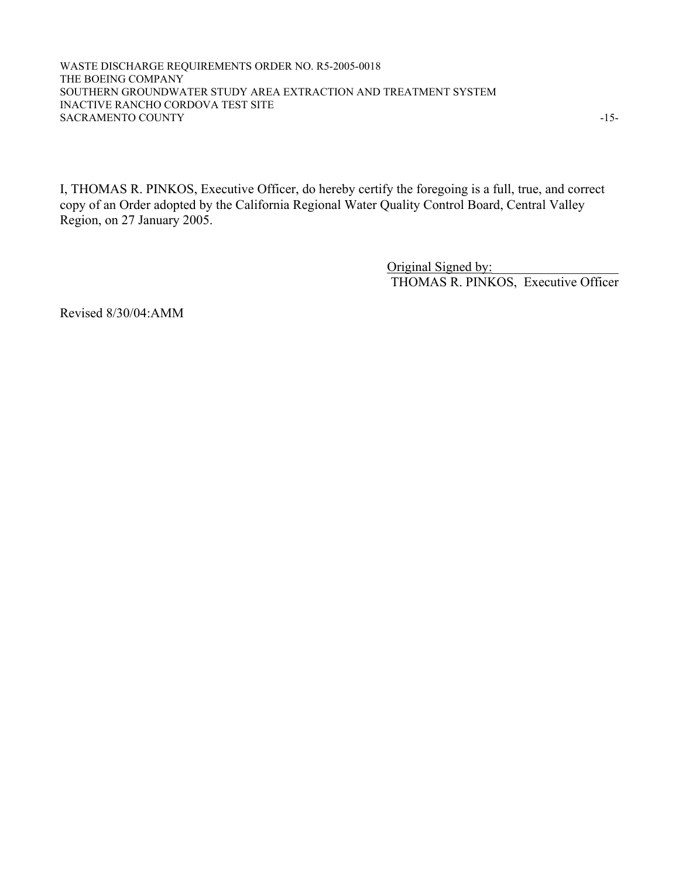WASTE DISCHARGE REQUIREMENTS ORDER NO. R5-2005-0018 THE BOEING COMPANY SOUTHERN GROUNDWATER STUDY AREA EXTRACTION AND TREATMENT SYSTEM INACTIVE RANCHO CORDOVA TEST SITE SACRAMENTO COUNTY  $-15$ -

I, THOMAS R. PINKOS, Executive Officer, do hereby certify the foregoing is a full, true, and correct copy of an Order adopted by the California Regional Water Quality Control Board, Central Valley Region, on 27 January 2005.

> Original Signed by: THOMAS R. PINKOS, Executive Officer

Revised 8/30/04:AMM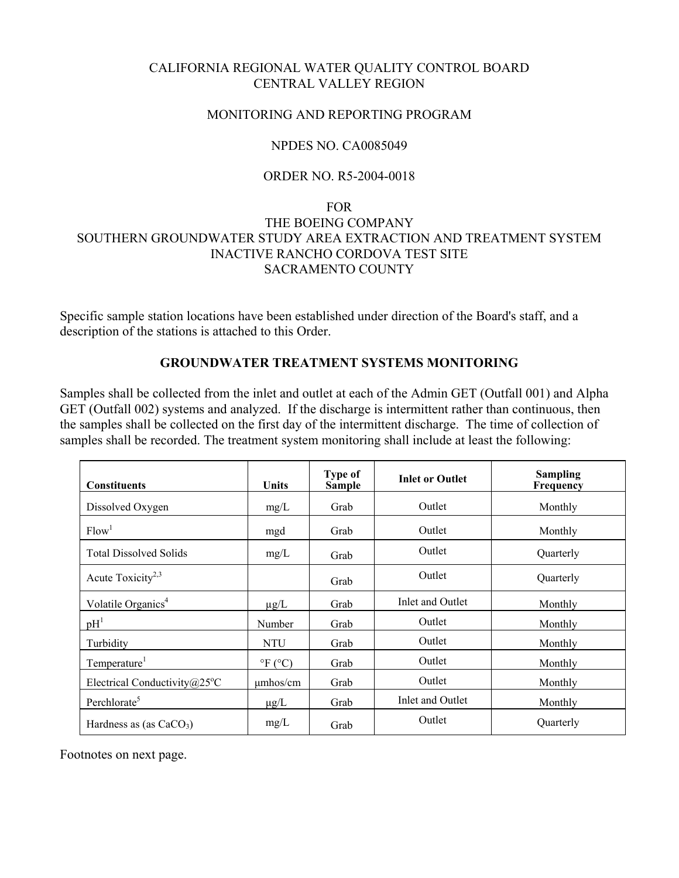# CALIFORNIA REGIONAL WATER QUALITY CONTROL BOARD CENTRAL VALLEY REGION

### MONITORING AND REPORTING PROGRAM

## NPDES NO. CA0085049

## ORDER NO. R5-2004-0018

# FOR **FOR**  THE BOEING COMPANY SOUTHERN GROUNDWATER STUDY AREA EXTRACTION AND TREATMENT SYSTEM INACTIVE RANCHO CORDOVA TEST SITE SACRAMENTO COUNTY

Specific sample station locations have been established under direction of the Board's staff, and a description of the stations is attached to this Order.

### **GROUNDWATER TREATMENT SYSTEMS MONITORING**

Samples shall be collected from the inlet and outlet at each of the Admin GET (Outfall 001) and Alpha GET (Outfall 002) systems and analyzed. If the discharge is intermittent rather than continuous, then the samples shall be collected on the first day of the intermittent discharge. The time of collection of samples shall be recorded. The treatment system monitoring shall include at least the following:

| <b>Constituents</b>                     | Units            | Type of<br><b>Sample</b> | <b>Inlet or Outlet</b> | <b>Sampling</b><br>Frequency |
|-----------------------------------------|------------------|--------------------------|------------------------|------------------------------|
| Dissolved Oxygen                        | mg/L             | Grab                     | Outlet                 | Monthly                      |
| Flow <sup>1</sup>                       | mgd              | Grab                     | Outlet                 | Monthly                      |
| <b>Total Dissolved Solids</b>           | mg/L             | Grab                     | Outlet                 | Quarterly                    |
| Acute Toxicity <sup>2,3</sup>           |                  | Grab                     | Outlet                 | Quarterly                    |
| Volatile Organics <sup>4</sup>          | $\mu$ g/L        | Grab                     | Inlet and Outlet       | Monthly                      |
| pH <sup>1</sup>                         | Number           | Grab                     | Outlet                 | Monthly                      |
| Turbidity                               | <b>NTU</b>       | Grab                     | Outlet                 | Monthly                      |
| Temperature <sup>1</sup>                | $\mathrm{P}F(C)$ | Grab                     | Outlet                 | Monthly                      |
| Electrical Conductivity $@25^{\circ}$ C | $\mu$ mhos/cm    | Grab                     | Outlet                 | Monthly                      |
| Perchlorate <sup>5</sup>                | $\mu$ g/L        | Grab                     | Inlet and Outlet       | Monthly                      |
| Hardness as (as $CaCO3$ )               | mg/L             | Grab                     | Outlet                 | Quarterly                    |

Footnotes on next page.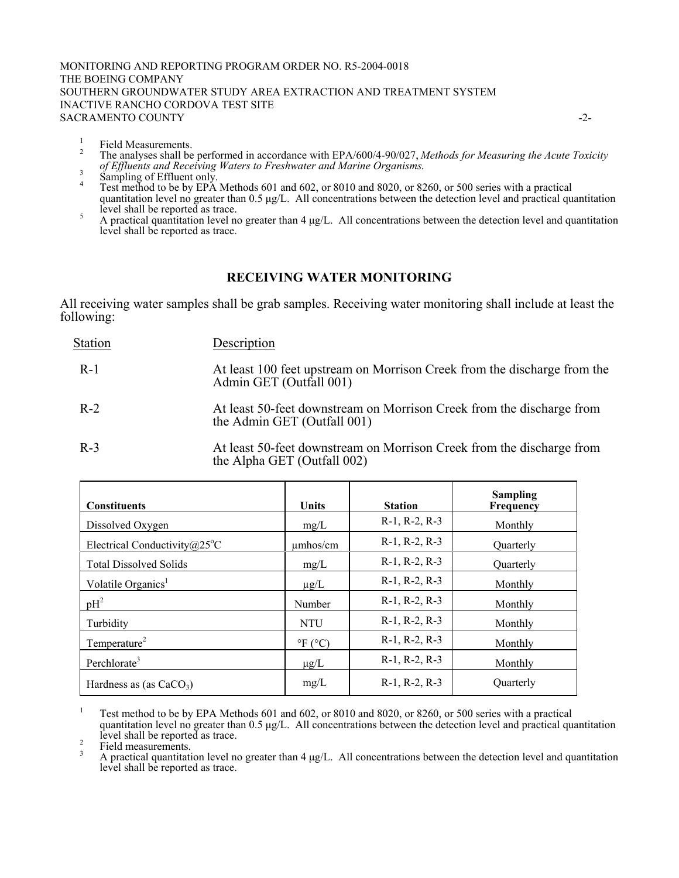#### MONITORING AND REPORTING PROGRAM ORDER NO. R5-2004-0018 THE BOEING COMPANY SOUTHERN GROUNDWATER STUDY AREA EXTRACTION AND TREATMENT SYSTEM INACTIVE RANCHO CORDOVA TEST SITE SACRAMENTO COUNTY  $\sim$

- 1 Field Measurements. 2
- The analyses shall be performed in accordance with EPA/600/4-90/027, *Methods for Measuring the Acute Toxicity of Effluents and Receiving Waters to Freshwater and Marine Organisms*. <sup>3</sup> Sampling of Effluent only. 4
- 
- Test method to be by EPA Methods 601 and 602, or 8010 and 8020, or 8260, or 500 series with a practical quantitation level no greater than 0.5  $\mu$ g/L. All concentrations between the detection level and practical quantitation  $\frac{1}{5}$  level shall be reported as trace.
- A practical quantitation level no greater than 4 µg/L. All concentrations between the detection level and quantitation level shall be reported as trace.

### **RECEIVING WATER MONITORING**

All receiving water samples shall be grab samples. Receiving water monitoring shall include at least the following:

| <b>Station</b> | Description                                                                                          |
|----------------|------------------------------------------------------------------------------------------------------|
| $R-1$          | At least 100 feet upstream on Morrison Creek from the discharge from the<br>Admin GET (Outfall 001)  |
| $R-2$          | At least 50-feet downstream on Morrison Creek from the discharge from<br>the Admin GET (Outfall 001) |
| $R-3$          | At least 50-feet downstream on Morrison Creek from the discharge from                                |

R-3 At least 50-feet downstream on Morrison Creek from the discharge from the Alpha GET (Outfall 002)

| <b>Constituents</b>                     | <b>Units</b>       | <b>Station</b>        | <b>Sampling</b><br>Frequency |
|-----------------------------------------|--------------------|-----------------------|------------------------------|
| Dissolved Oxygen                        | mg/L               | $R-1$ , $R-2$ , $R-3$ | Monthly                      |
| Electrical Conductivity $@25^{\circ}$ C | $\mu$ mhos/cm      | $R-1$ , $R-2$ , $R-3$ | Ouarterly                    |
| <b>Total Dissolved Solids</b>           | mg/L               | $R-1$ , $R-2$ , $R-3$ | Ouarterly                    |
| Volatile Organics <sup>1</sup>          | $\mu$ g/L          | $R-1$ , $R-2$ , $R-3$ | Monthly                      |
| $pH^2$                                  | Number             | $R-1$ , $R-2$ , $R-3$ | Monthly                      |
| Turbidity                               | <b>NTU</b>         | $R-1$ , $R-2$ , $R-3$ | Monthly                      |
| Temperature <sup>2</sup>                | $\mathrm{P}F$ (°C) | $R-1$ , $R-2$ , $R-3$ | Monthly                      |
| Perchlorate <sup>3</sup>                | $\mu$ g/L          | $R-1$ , $R-2$ , $R-3$ | Monthly                      |
| Hardness as (as $CaCO3$ )               | mg/L               | $R-1$ , $R-2$ , $R-3$ | Quarterly                    |

<sup>1</sup> Test method to be by EPA Methods 601 and 602, or 8010 and 8020, or 8260, or 500 series with a practical quantitation level no greater than  $0.5 \mu g/L$ . All concentrations between the detection level and practical quantitation  $\frac{1}{2}$  level shall be reported as trace.

3 A practical quantitation level no greater than  $4 \mu g/L$ . All concentrations between the detection level and quantitation level shall be reported as trace.

Field measurements.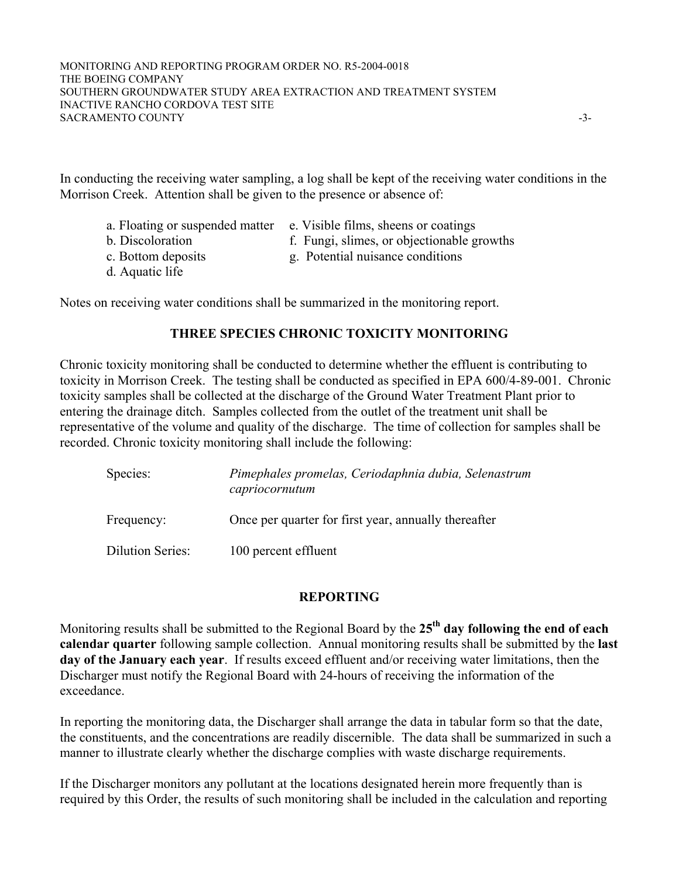In conducting the receiving water sampling, a log shall be kept of the receiving water conditions in the Morrison Creek. Attention shall be given to the presence or absence of:

- a. Floating or suspended matter e. Visible films, sheens or coatings
- 
- 
- d. Aquatic life
- b. Discoloration f. Fungi, slimes, or objectionable growths
- c. Bottom deposits g. Potential nuisance conditions

Notes on receiving water conditions shall be summarized in the monitoring report.

### **THREE SPECIES CHRONIC TOXICITY MONITORING**

Chronic toxicity monitoring shall be conducted to determine whether the effluent is contributing to toxicity in Morrison Creek. The testing shall be conducted as specified in EPA 600/4-89-001. Chronic toxicity samples shall be collected at the discharge of the Ground Water Treatment Plant prior to entering the drainage ditch. Samples collected from the outlet of the treatment unit shall be representative of the volume and quality of the discharge. The time of collection for samples shall be recorded. Chronic toxicity monitoring shall include the following:

| Species:                | Pimephales promelas, Ceriodaphnia dubia, Selenastrum<br>capriocornutum |  |  |
|-------------------------|------------------------------------------------------------------------|--|--|
| Frequency:              | Once per quarter for first year, annually thereafter                   |  |  |
| <b>Dilution Series:</b> | 100 percent effluent                                                   |  |  |

### **REPORTING**

Monitoring results shall be submitted to the Regional Board by the **25th day following the end of each calendar quarter** following sample collection. Annual monitoring results shall be submitted by the **last day of the January each year**. If results exceed effluent and/or receiving water limitations, then the Discharger must notify the Regional Board with 24-hours of receiving the information of the exceedance.

In reporting the monitoring data, the Discharger shall arrange the data in tabular form so that the date, the constituents, and the concentrations are readily discernible. The data shall be summarized in such a manner to illustrate clearly whether the discharge complies with waste discharge requirements.

If the Discharger monitors any pollutant at the locations designated herein more frequently than is required by this Order, the results of such monitoring shall be included in the calculation and reporting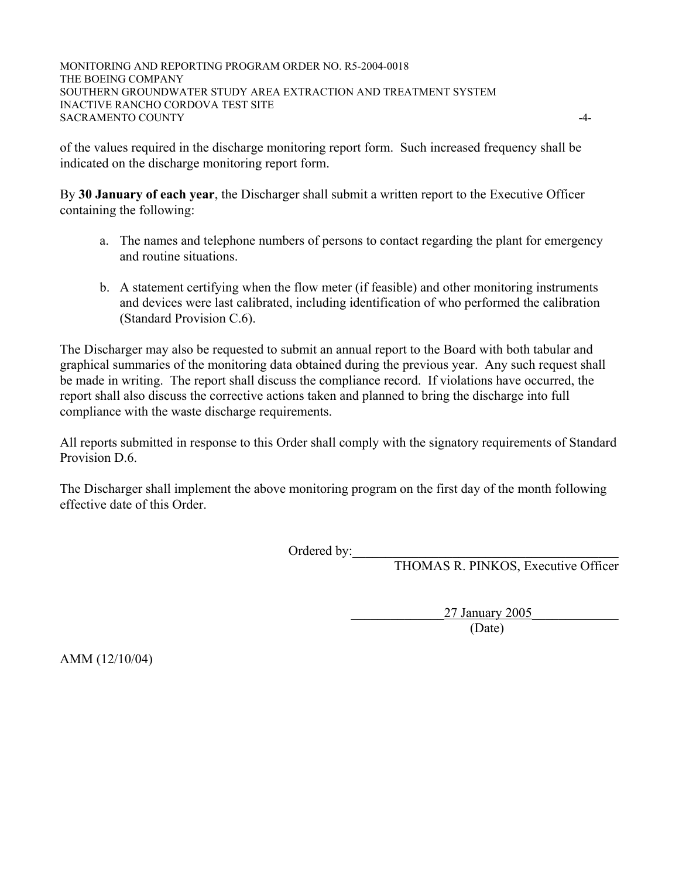MONITORING AND REPORTING PROGRAM ORDER NO. R5-2004-0018 THE BOEING COMPANY SOUTHERN GROUNDWATER STUDY AREA EXTRACTION AND TREATMENT SYSTEM INACTIVE RANCHO CORDOVA TEST SITE SACRAMENTO COUNTY  $\sim$ 

of the values required in the discharge monitoring report form. Such increased frequency shall be indicated on the discharge monitoring report form.

By **30 January of each year**, the Discharger shall submit a written report to the Executive Officer containing the following:

- a. The names and telephone numbers of persons to contact regarding the plant for emergency and routine situations.
- b. A statement certifying when the flow meter (if feasible) and other monitoring instruments and devices were last calibrated, including identification of who performed the calibration (Standard Provision C.6).

The Discharger may also be requested to submit an annual report to the Board with both tabular and graphical summaries of the monitoring data obtained during the previous year. Any such request shall be made in writing. The report shall discuss the compliance record. If violations have occurred, the report shall also discuss the corrective actions taken and planned to bring the discharge into full compliance with the waste discharge requirements.

All reports submitted in response to this Order shall comply with the signatory requirements of Standard Provision D.6.

The Discharger shall implement the above monitoring program on the first day of the month following effective date of this Order.

Ordered by:\_\_\_\_\_\_\_\_\_\_\_\_\_\_\_\_\_\_\_\_\_\_\_\_\_\_\_\_\_\_\_\_\_\_\_\_\_\_\_\_

THOMAS R. PINKOS, Executive Officer

 \_\_\_\_\_\_\_\_\_\_\_\_\_\_27 January 2005\_\_\_\_\_\_\_\_\_\_\_\_\_ (Date)

AMM (12/10/04)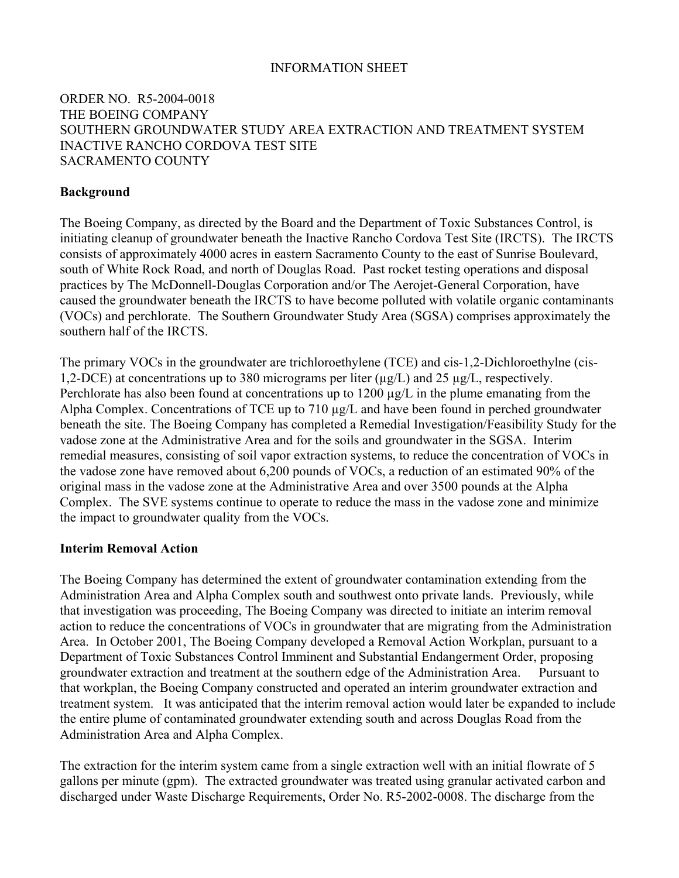## INFORMATION SHEET

# ORDER NO. R5-2004-0018 THE BOEING COMPANY SOUTHERN GROUNDWATER STUDY AREA EXTRACTION AND TREATMENT SYSTEM INACTIVE RANCHO CORDOVA TEST SITE SACRAMENTO COUNTY

## **Background**

The Boeing Company, as directed by the Board and the Department of Toxic Substances Control, is initiating cleanup of groundwater beneath the Inactive Rancho Cordova Test Site (IRCTS). The IRCTS consists of approximately 4000 acres in eastern Sacramento County to the east of Sunrise Boulevard, south of White Rock Road, and north of Douglas Road. Past rocket testing operations and disposal practices by The McDonnell-Douglas Corporation and/or The Aerojet-General Corporation, have caused the groundwater beneath the IRCTS to have become polluted with volatile organic contaminants (VOCs) and perchlorate. The Southern Groundwater Study Area (SGSA) comprises approximately the southern half of the IRCTS

The primary VOCs in the groundwater are trichloroethylene (TCE) and cis-1,2-Dichloroethylne (cis-1,2-DCE) at concentrations up to 380 micrograms per liter  $(\mu g/L)$  and 25  $\mu g/L$ , respectively. Perchlorate has also been found at concentrations up to 1200  $\mu$ g/L in the plume emanating from the Alpha Complex. Concentrations of TCE up to 710 µg/L and have been found in perched groundwater beneath the site. The Boeing Company has completed a Remedial Investigation/Feasibility Study for the vadose zone at the Administrative Area and for the soils and groundwater in the SGSA. Interim remedial measures, consisting of soil vapor extraction systems, to reduce the concentration of VOCs in the vadose zone have removed about 6,200 pounds of VOCs, a reduction of an estimated 90% of the original mass in the vadose zone at the Administrative Area and over 3500 pounds at the Alpha Complex. The SVE systems continue to operate to reduce the mass in the vadose zone and minimize the impact to groundwater quality from the VOCs.

### **Interim Removal Action**

The Boeing Company has determined the extent of groundwater contamination extending from the Administration Area and Alpha Complex south and southwest onto private lands. Previously, while that investigation was proceeding, The Boeing Company was directed to initiate an interim removal action to reduce the concentrations of VOCs in groundwater that are migrating from the Administration Area. In October 2001, The Boeing Company developed a Removal Action Workplan, pursuant to a Department of Toxic Substances Control Imminent and Substantial Endangerment Order, proposing groundwater extraction and treatment at the southern edge of the Administration Area. Pursuant to that workplan, the Boeing Company constructed and operated an interim groundwater extraction and treatment system. It was anticipated that the interim removal action would later be expanded to include the entire plume of contaminated groundwater extending south and across Douglas Road from the Administration Area and Alpha Complex.

The extraction for the interim system came from a single extraction well with an initial flowrate of 5 gallons per minute (gpm). The extracted groundwater was treated using granular activated carbon and discharged under Waste Discharge Requirements, Order No. R5-2002-0008. The discharge from the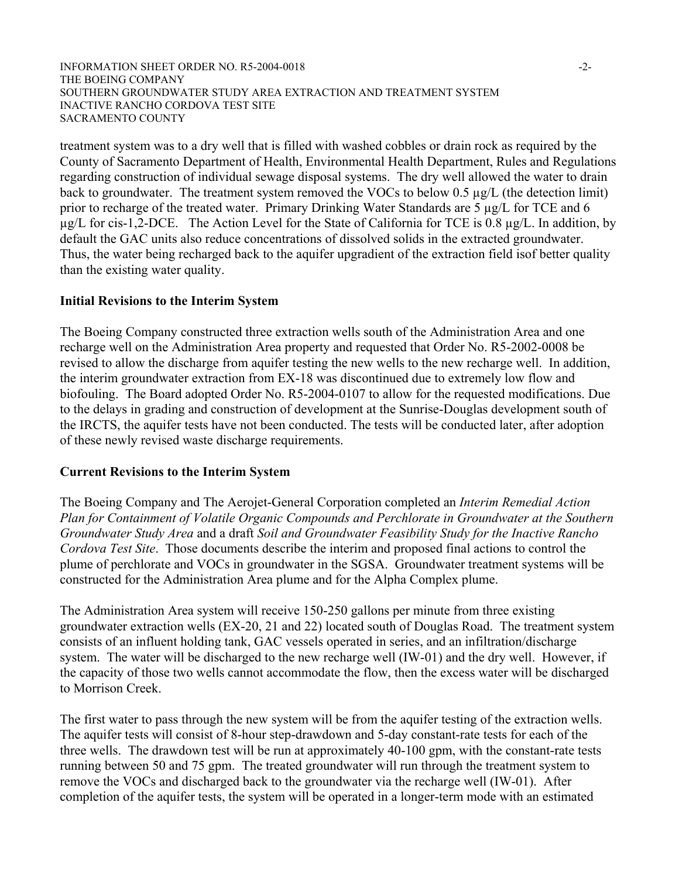#### INFORMATION SHEET ORDER NO. R5-2004-0018 -2- THE BOEING COMPANY SOUTHERN GROUNDWATER STUDY AREA EXTRACTION AND TREATMENT SYSTEM INACTIVE RANCHO CORDOVA TEST SITE SACRAMENTO COUNTY

treatment system was to a dry well that is filled with washed cobbles or drain rock as required by the County of Sacramento Department of Health, Environmental Health Department, Rules and Regulations regarding construction of individual sewage disposal systems. The dry well allowed the water to drain back to groundwater. The treatment system removed the VOCs to below 0.5 µg/L (the detection limit) prior to recharge of the treated water. Primary Drinking Water Standards are 5 µg/L for TCE and 6 µg/L for cis-1,2-DCE. The Action Level for the State of California for TCE is 0.8 µg/L. In addition, by default the GAC units also reduce concentrations of dissolved solids in the extracted groundwater. Thus, the water being recharged back to the aquifer upgradient of the extraction field isof better quality than the existing water quality.

#### **Initial Revisions to the Interim System**

The Boeing Company constructed three extraction wells south of the Administration Area and one recharge well on the Administration Area property and requested that Order No. R5-2002-0008 be revised to allow the discharge from aquifer testing the new wells to the new recharge well. In addition, the interim groundwater extraction from EX-18 was discontinued due to extremely low flow and biofouling. The Board adopted Order No. R5-2004-0107 to allow for the requested modifications. Due to the delays in grading and construction of development at the Sunrise-Douglas development south of the IRCTS, the aquifer tests have not been conducted. The tests will be conducted later, after adoption of these newly revised waste discharge requirements.

### **Current Revisions to the Interim System**

The Boeing Company and The Aerojet-General Corporation completed an *Interim Remedial Action Plan for Containment of Volatile Organic Compounds and Perchlorate in Groundwater at the Southern Groundwater Study Area* and a draft *Soil and Groundwater Feasibility Study for the Inactive Rancho Cordova Test Site*. Those documents describe the interim and proposed final actions to control the plume of perchlorate and VOCs in groundwater in the SGSA. Groundwater treatment systems will be constructed for the Administration Area plume and for the Alpha Complex plume.

The Administration Area system will receive 150-250 gallons per minute from three existing groundwater extraction wells (EX-20, 21 and 22) located south of Douglas Road. The treatment system consists of an influent holding tank, GAC vessels operated in series, and an infiltration/discharge system. The water will be discharged to the new recharge well (IW-01) and the dry well. However, if the capacity of those two wells cannot accommodate the flow, then the excess water will be discharged to Morrison Creek.

The first water to pass through the new system will be from the aquifer testing of the extraction wells. The aquifer tests will consist of 8-hour step-drawdown and 5-day constant-rate tests for each of the three wells. The drawdown test will be run at approximately 40-100 gpm, with the constant-rate tests running between 50 and 75 gpm. The treated groundwater will run through the treatment system to remove the VOCs and discharged back to the groundwater via the recharge well (IW-01). After completion of the aquifer tests, the system will be operated in a longer-term mode with an estimated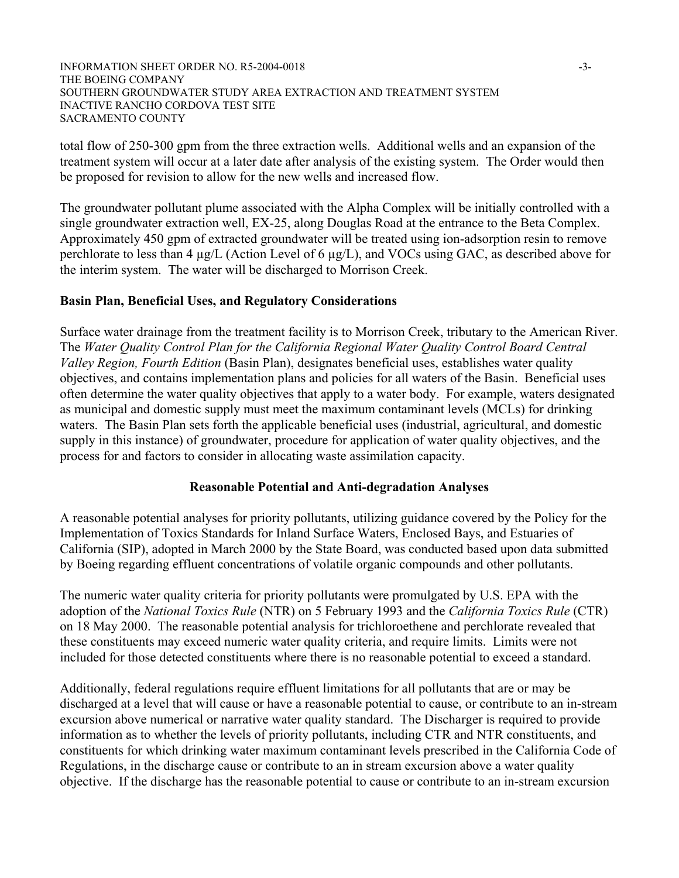#### INFORMATION SHEET ORDER NO. R5-2004-0018 -3- THE BOEING COMPANY SOUTHERN GROUNDWATER STUDY AREA EXTRACTION AND TREATMENT SYSTEM INACTIVE RANCHO CORDOVA TEST SITE SACRAMENTO COUNTY

total flow of 250-300 gpm from the three extraction wells. Additional wells and an expansion of the treatment system will occur at a later date after analysis of the existing system. The Order would then be proposed for revision to allow for the new wells and increased flow.

The groundwater pollutant plume associated with the Alpha Complex will be initially controlled with a single groundwater extraction well, EX-25, along Douglas Road at the entrance to the Beta Complex. Approximately 450 gpm of extracted groundwater will be treated using ion-adsorption resin to remove perchlorate to less than 4 µg/L (Action Level of 6 µg/L), and VOCs using GAC, as described above for the interim system. The water will be discharged to Morrison Creek.

### **Basin Plan, Beneficial Uses, and Regulatory Considerations**

Surface water drainage from the treatment facility is to Morrison Creek, tributary to the American River. The *Water Quality Control Plan for the California Regional Water Quality Control Board Central Valley Region, Fourth Edition* (Basin Plan), designates beneficial uses, establishes water quality objectives, and contains implementation plans and policies for all waters of the Basin. Beneficial uses often determine the water quality objectives that apply to a water body. For example, waters designated as municipal and domestic supply must meet the maximum contaminant levels (MCLs) for drinking waters. The Basin Plan sets forth the applicable beneficial uses (industrial, agricultural, and domestic supply in this instance) of groundwater, procedure for application of water quality objectives, and the process for and factors to consider in allocating waste assimilation capacity.

### **Reasonable Potential and Anti-degradation Analyses**

A reasonable potential analyses for priority pollutants, utilizing guidance covered by the Policy for the Implementation of Toxics Standards for Inland Surface Waters, Enclosed Bays, and Estuaries of California (SIP), adopted in March 2000 by the State Board, was conducted based upon data submitted by Boeing regarding effluent concentrations of volatile organic compounds and other pollutants.

The numeric water quality criteria for priority pollutants were promulgated by U.S. EPA with the adoption of the *National Toxics Rule* (NTR) on 5 February 1993 and the *California Toxics Rule* (CTR) on 18 May 2000. The reasonable potential analysis for trichloroethene and perchlorate revealed that these constituents may exceed numeric water quality criteria, and require limits. Limits were not included for those detected constituents where there is no reasonable potential to exceed a standard.

Additionally, federal regulations require effluent limitations for all pollutants that are or may be discharged at a level that will cause or have a reasonable potential to cause, or contribute to an in-stream excursion above numerical or narrative water quality standard. The Discharger is required to provide information as to whether the levels of priority pollutants, including CTR and NTR constituents, and constituents for which drinking water maximum contaminant levels prescribed in the California Code of Regulations, in the discharge cause or contribute to an in stream excursion above a water quality objective. If the discharge has the reasonable potential to cause or contribute to an in-stream excursion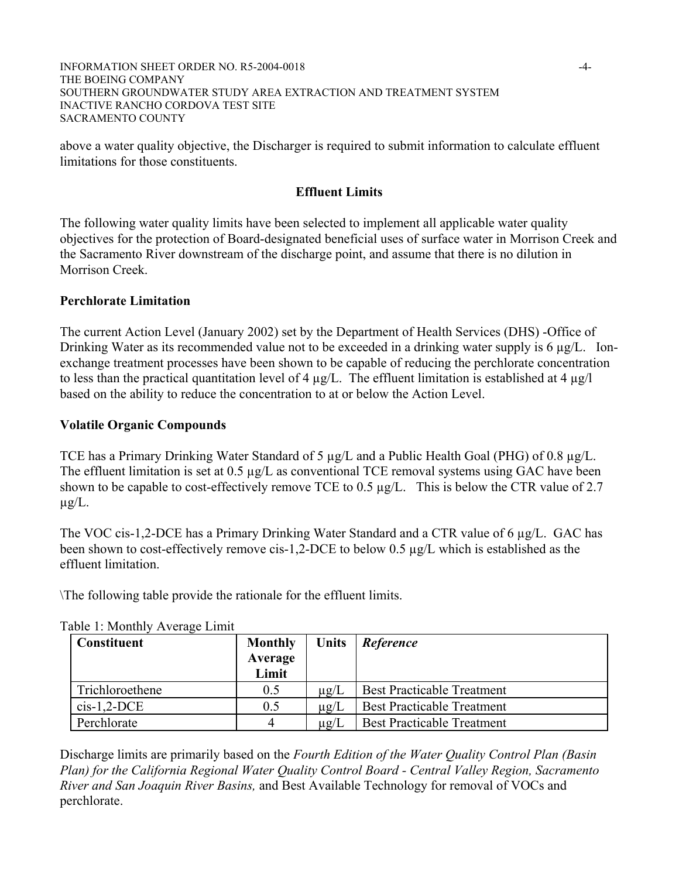#### INFORMATION SHEET ORDER NO. R5-2004-0018 -4- THE BOEING COMPANY SOUTHERN GROUNDWATER STUDY AREA EXTRACTION AND TREATMENT SYSTEM INACTIVE RANCHO CORDOVA TEST SITE SACRAMENTO COUNTY

above a water quality objective, the Discharger is required to submit information to calculate effluent limitations for those constituents.

# **Effluent Limits**

The following water quality limits have been selected to implement all applicable water quality objectives for the protection of Board-designated beneficial uses of surface water in Morrison Creek and the Sacramento River downstream of the discharge point, and assume that there is no dilution in Morrison Creek.

## **Perchlorate Limitation**

The current Action Level (January 2002) set by the Department of Health Services (DHS) -Office of Drinking Water as its recommended value not to be exceeded in a drinking water supply is 6 µg/L. Ionexchange treatment processes have been shown to be capable of reducing the perchlorate concentration to less than the practical quantitation level of 4  $\mu$ g/L. The effluent limitation is established at 4  $\mu$ g/l based on the ability to reduce the concentration to at or below the Action Level.

# **Volatile Organic Compounds**

TCE has a Primary Drinking Water Standard of 5 µg/L and a Public Health Goal (PHG) of 0.8 µg/L. The effluent limitation is set at 0.5 µg/L as conventional TCE removal systems using GAC have been shown to be capable to cost-effectively remove TCE to 0.5  $\mu$ g/L. This is below the CTR value of 2.7  $\mu$ g/L.

The VOC cis-1,2-DCE has a Primary Drinking Water Standard and a CTR value of 6 µg/L. GAC has been shown to cost-effectively remove cis-1,2-DCE to below 0.5 µg/L which is established as the effluent limitation.

\The following table provide the rationale for the effluent limits.

| <b>Constituent</b> | <b>Monthly</b><br>Average<br>Limit | <b>Units</b> | Reference                         |
|--------------------|------------------------------------|--------------|-----------------------------------|
| Trichloroethene    | 0.5                                | $\mu$ g/L    | <b>Best Practicable Treatment</b> |
| $cis-1,2-DCE$      | 0.5                                | $\mu$ g/L    | <b>Best Practicable Treatment</b> |
| Perchlorate        | 4                                  | $\mu$ g/L    | <b>Best Practicable Treatment</b> |

Table 1: Monthly Average Limit

Discharge limits are primarily based on the *Fourth Edition of the Water Quality Control Plan (Basin Plan) for the California Regional Water Quality Control Board - Central Valley Region, Sacramento River and San Joaquin River Basins,* and Best Available Technology for removal of VOCs and perchlorate.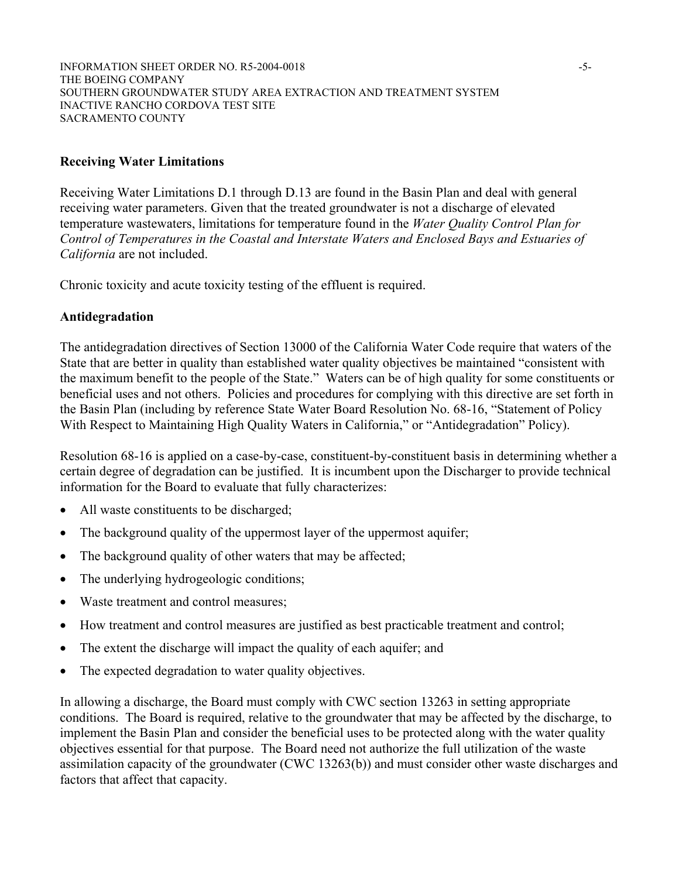INFORMATION SHEET ORDER NO. R5-2004-0018 -5-THE BOEING COMPANY SOUTHERN GROUNDWATER STUDY AREA EXTRACTION AND TREATMENT SYSTEM INACTIVE RANCHO CORDOVA TEST SITE SACRAMENTO COUNTY

#### **Receiving Water Limitations**

Receiving Water Limitations D.1 through D.13 are found in the Basin Plan and deal with general receiving water parameters. Given that the treated groundwater is not a discharge of elevated temperature wastewaters, limitations for temperature found in the *Water Quality Control Plan for Control of Temperatures in the Coastal and Interstate Waters and Enclosed Bays and Estuaries of California* are not included.

Chronic toxicity and acute toxicity testing of the effluent is required.

#### **Antidegradation**

The antidegradation directives of Section 13000 of the California Water Code require that waters of the State that are better in quality than established water quality objectives be maintained "consistent with the maximum benefit to the people of the State." Waters can be of high quality for some constituents or beneficial uses and not others. Policies and procedures for complying with this directive are set forth in the Basin Plan (including by reference State Water Board Resolution No. 68-16, "Statement of Policy With Respect to Maintaining High Quality Waters in California," or "Antidegradation" Policy).

Resolution 68-16 is applied on a case-by-case, constituent-by-constituent basis in determining whether a certain degree of degradation can be justified. It is incumbent upon the Discharger to provide technical information for the Board to evaluate that fully characterizes:

- All waste constituents to be discharged;
- $\bullet$  The background quality of the uppermost layer of the uppermost aquifer;
- $\bullet$  The background quality of other waters that may be affected;
- The underlying hydrogeologic conditions;
- Waste treatment and control measures;
- How treatment and control measures are justified as best practicable treatment and control;
- The extent the discharge will impact the quality of each aquifer; and
- The expected degradation to water quality objectives.

In allowing a discharge, the Board must comply with CWC section 13263 in setting appropriate conditions. The Board is required, relative to the groundwater that may be affected by the discharge, to implement the Basin Plan and consider the beneficial uses to be protected along with the water quality objectives essential for that purpose. The Board need not authorize the full utilization of the waste assimilation capacity of the groundwater (CWC 13263(b)) and must consider other waste discharges and factors that affect that capacity.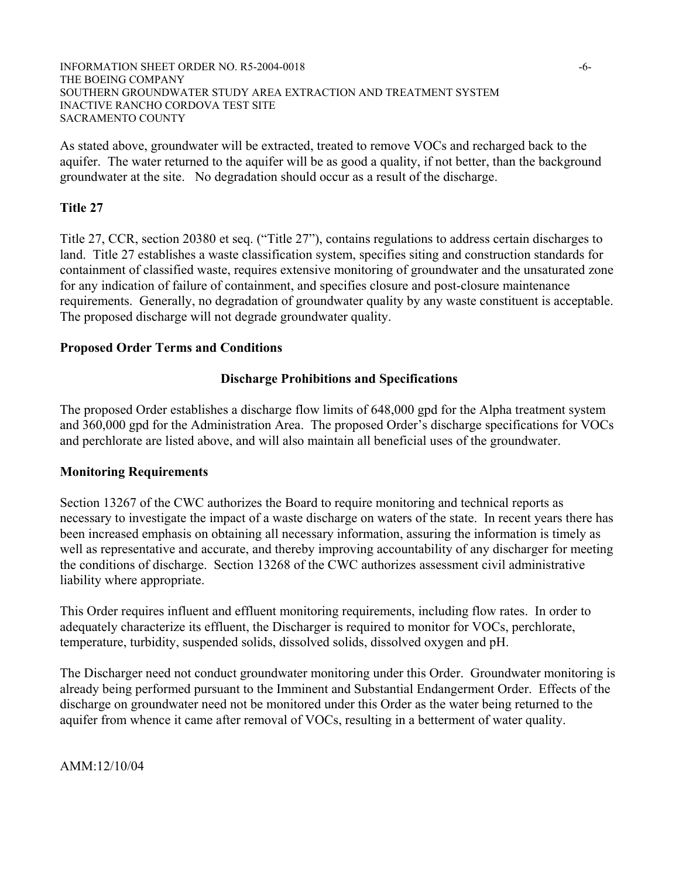#### INFORMATION SHEET ORDER NO. R5-2004-0018 -6- THE BOEING COMPANY SOUTHERN GROUNDWATER STUDY AREA EXTRACTION AND TREATMENT SYSTEM INACTIVE RANCHO CORDOVA TEST SITE SACRAMENTO COUNTY

As stated above, groundwater will be extracted, treated to remove VOCs and recharged back to the aquifer. The water returned to the aquifer will be as good a quality, if not better, than the background groundwater at the site. No degradation should occur as a result of the discharge.

# **Title 27**

Title 27, CCR, section 20380 et seq. ("Title 27"), contains regulations to address certain discharges to land. Title 27 establishes a waste classification system, specifies siting and construction standards for containment of classified waste, requires extensive monitoring of groundwater and the unsaturated zone for any indication of failure of containment, and specifies closure and post-closure maintenance requirements. Generally, no degradation of groundwater quality by any waste constituent is acceptable. The proposed discharge will not degrade groundwater quality.

## **Proposed Order Terms and Conditions**

### **Discharge Prohibitions and Specifications**

The proposed Order establishes a discharge flow limits of 648,000 gpd for the Alpha treatment system and 360,000 gpd for the Administration Area. The proposed Order's discharge specifications for VOCs and perchlorate are listed above, and will also maintain all beneficial uses of the groundwater.

### **Monitoring Requirements**

Section 13267 of the CWC authorizes the Board to require monitoring and technical reports as necessary to investigate the impact of a waste discharge on waters of the state. In recent years there has been increased emphasis on obtaining all necessary information, assuring the information is timely as well as representative and accurate, and thereby improving accountability of any discharger for meeting the conditions of discharge. Section 13268 of the CWC authorizes assessment civil administrative liability where appropriate.

This Order requires influent and effluent monitoring requirements, including flow rates. In order to adequately characterize its effluent, the Discharger is required to monitor for VOCs, perchlorate, temperature, turbidity, suspended solids, dissolved solids, dissolved oxygen and pH.

The Discharger need not conduct groundwater monitoring under this Order. Groundwater monitoring is already being performed pursuant to the Imminent and Substantial Endangerment Order. Effects of the discharge on groundwater need not be monitored under this Order as the water being returned to the aquifer from whence it came after removal of VOCs, resulting in a betterment of water quality.

AMM:12/10/04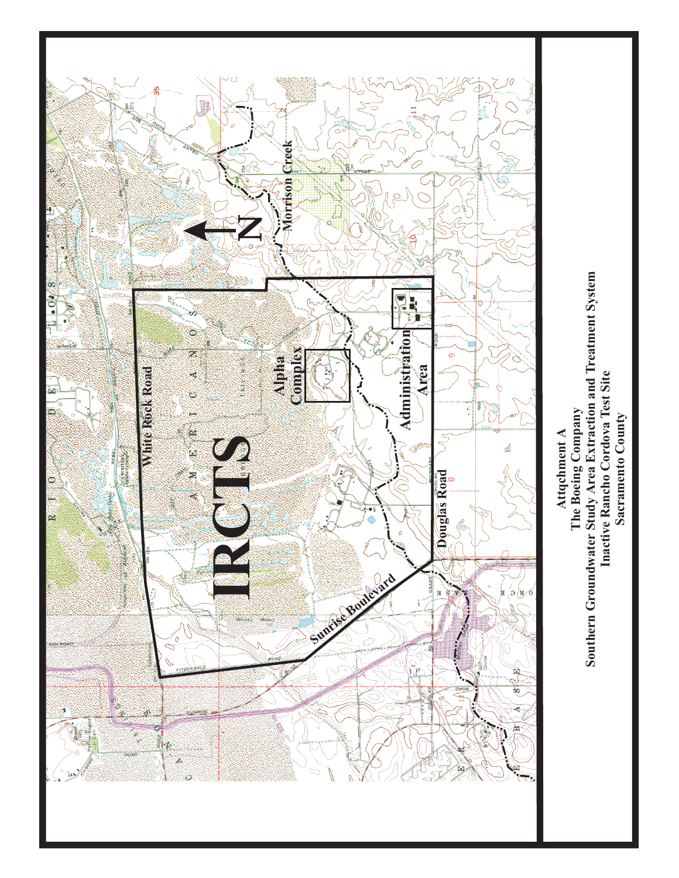

Inactive Rancho Cordova Test Site **Inactive Rancho Cordova Test Site** Sacramento County **Sacramento County**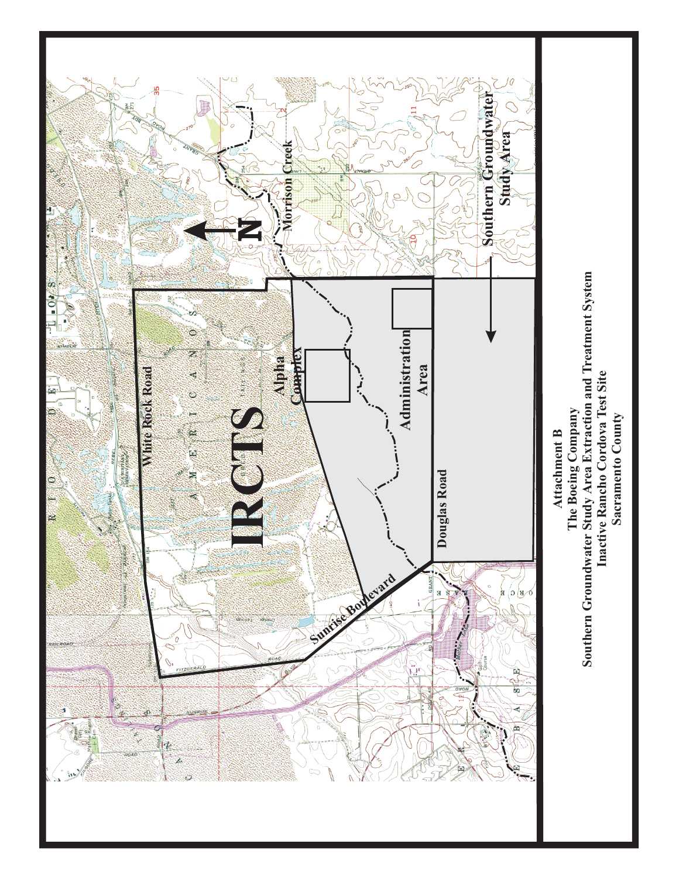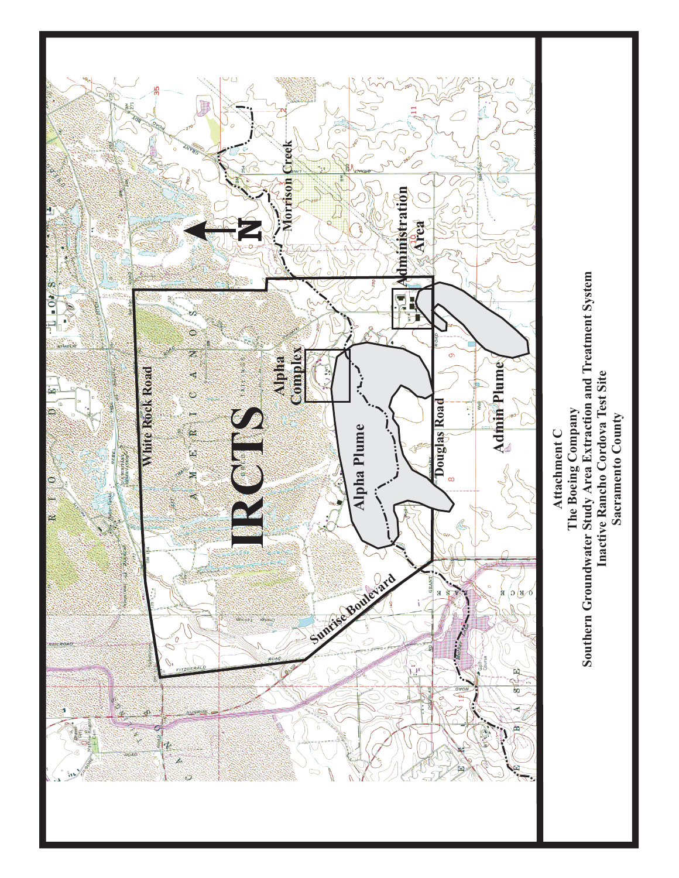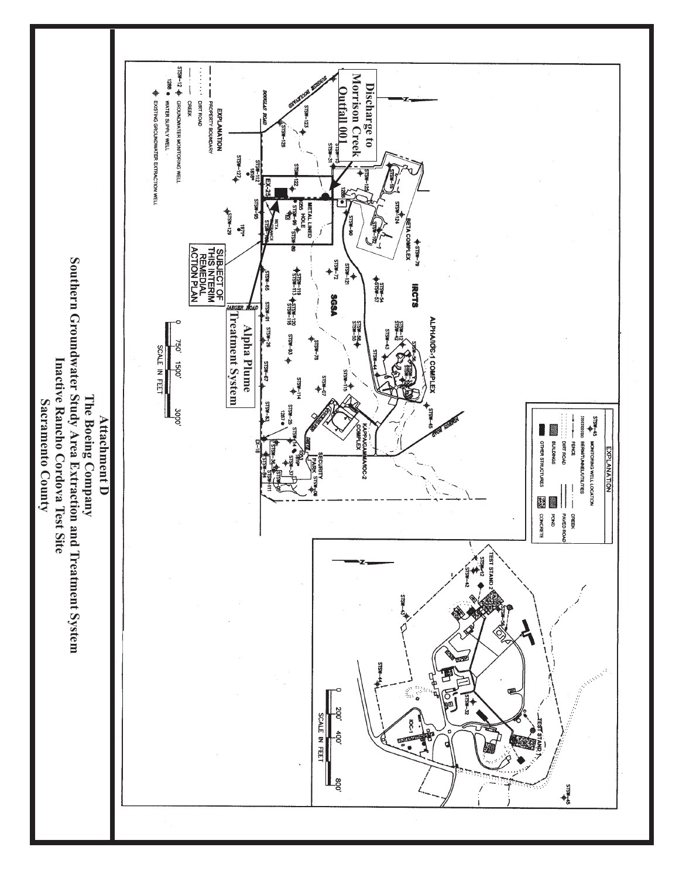